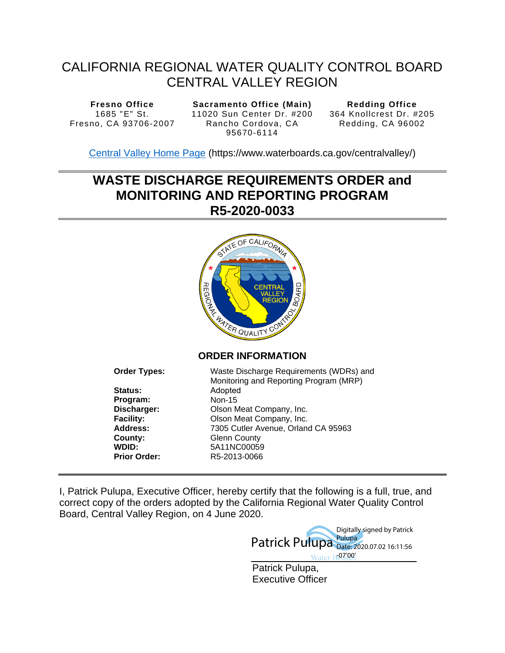# CALIFORNIA REGIONAL WATER QUALITY CONTROL BOARD CENTRAL VALLEY REGION

**Fresno Office**  1685 "E" St. Fresno, CA 93706-2007

**Sacramento Office (Main)**  11020 Sun Center Dr. #200 Rancho Cordova, CA 95670-6114

**Redding Office**  364 Knollcrest Dr. #205 Redding, CA 96002

[Central Valley Home Page](https://www.waterboards.ca.gov/centralvalley/) (https://www.waterboards.ca.gov/centralvalley/)

# **WASTE DISCHARGE REQUIREMENTS ORDER and MONITORING AND REPORTING PROGRAM R5-2020-0033**



# **ORDER INFORMATION**

| <b>Order Types:</b> | Waste Discharge Requirements (WDRs) and<br>Monitoring and Reporting Program (MRP) |
|---------------------|-----------------------------------------------------------------------------------|
| <b>Status:</b>      | Adopted                                                                           |
| Program:            | <b>Non-15</b>                                                                     |
| Discharger:         | Olson Meat Company, Inc.                                                          |
| <b>Facility:</b>    | Olson Meat Company, Inc.                                                          |
| <b>Address:</b>     | 7305 Cutler Avenue, Orland CA 95963                                               |
| County:             | <b>Glenn County</b>                                                               |
| WDID:               | 5A11NC00059                                                                       |
| <b>Prior Order:</b> | R5-2013-0066                                                                      |

I, Patrick Pulupa, Executive Officer, hereby certify that the following is a full, true, and correct copy of the orders adopted by the California Regional Water Quality Control Board, Central Valley Region, on 4 June 2020.

> Patrick Pulupa, Executive Officer Patrick Pulupa Pulupa Digitally signed by Patrick Date: 2020.07.02 16:11:56 ter R07'00'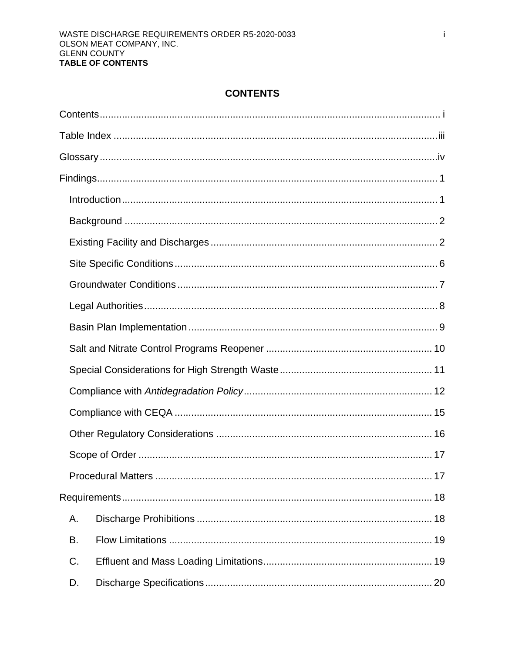# **CONTENTS**

<span id="page-1-0"></span>

|    | .17 |
|----|-----|
|    |     |
| А. |     |
| В. |     |
| C. |     |
| D. |     |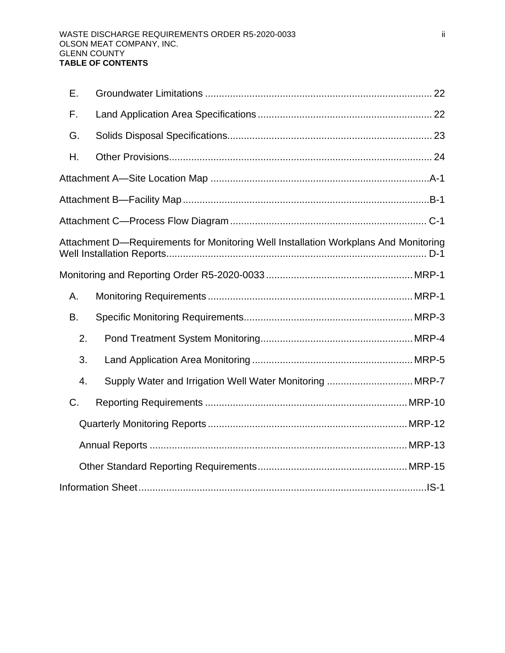| Ε.        |                                                                                     |  |
|-----------|-------------------------------------------------------------------------------------|--|
| F.        |                                                                                     |  |
| G.        |                                                                                     |  |
| Η.        |                                                                                     |  |
|           |                                                                                     |  |
|           |                                                                                     |  |
|           |                                                                                     |  |
|           | Attachment D-Requirements for Monitoring Well Installation Workplans And Monitoring |  |
|           |                                                                                     |  |
| Α.        |                                                                                     |  |
| <b>B.</b> |                                                                                     |  |
| 2.        |                                                                                     |  |
| 3.        |                                                                                     |  |
| 4.        | Supply Water and Irrigation Well Water Monitoring  MRP-7                            |  |
| C.        |                                                                                     |  |
|           |                                                                                     |  |
|           |                                                                                     |  |
|           |                                                                                     |  |
|           |                                                                                     |  |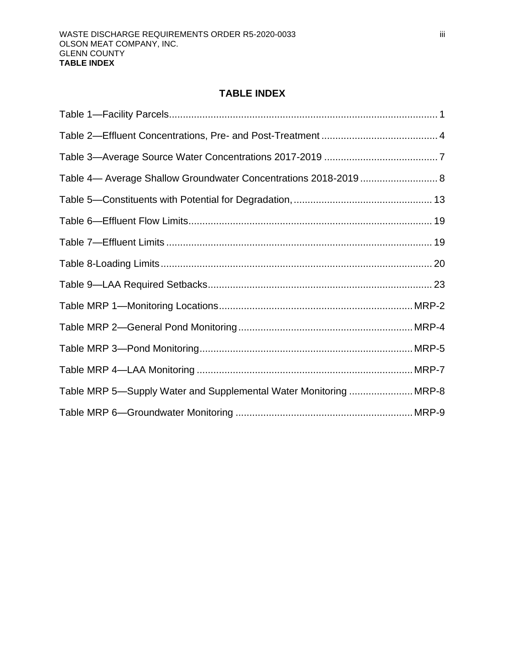# **TABLE INDEX**

<span id="page-3-0"></span>

| Table 4— Average Shallow Groundwater Concentrations 2018-2019  8  |  |
|-------------------------------------------------------------------|--|
|                                                                   |  |
|                                                                   |  |
|                                                                   |  |
|                                                                   |  |
|                                                                   |  |
|                                                                   |  |
|                                                                   |  |
|                                                                   |  |
|                                                                   |  |
| Table MRP 5-Supply Water and Supplemental Water Monitoring  MRP-8 |  |
|                                                                   |  |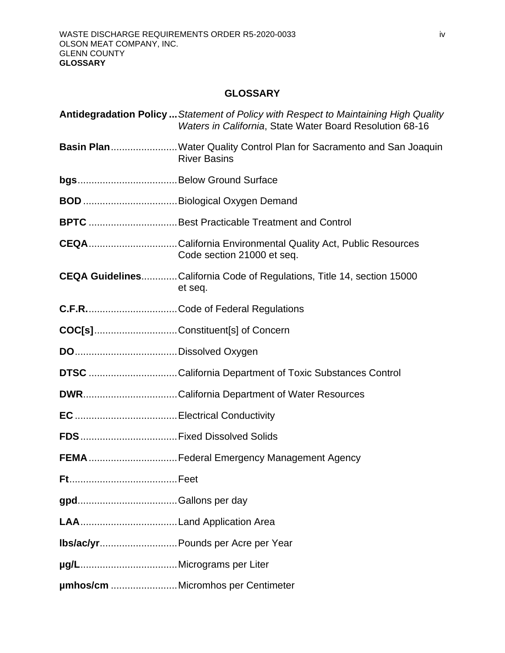# **GLOSSARY**

<span id="page-4-0"></span>

|           | Antidegradation Policy  Statement of Policy with Respect to Maintaining High Quality<br>Waters in California, State Water Board Resolution 68-16 |
|-----------|--------------------------------------------------------------------------------------------------------------------------------------------------|
|           | Basin PlanWater Quality Control Plan for Sacramento and San Joaquin<br><b>River Basins</b>                                                       |
|           |                                                                                                                                                  |
|           |                                                                                                                                                  |
|           | BPTC Best Practicable Treatment and Control                                                                                                      |
|           | <b>CEQA</b> California Environmental Quality Act, Public Resources<br>Code section 21000 et seq.                                                 |
|           | CEQA GuidelinesCalifornia Code of Regulations, Title 14, section 15000<br>et seq.                                                                |
|           |                                                                                                                                                  |
|           | COC[s]Constituent[s] of Concern                                                                                                                  |
|           |                                                                                                                                                  |
|           | <b>DTSC</b> California Department of Toxic Substances Control                                                                                    |
|           |                                                                                                                                                  |
|           |                                                                                                                                                  |
|           |                                                                                                                                                  |
|           | FEMA  Federal Emergency Management Agency                                                                                                        |
| <b>Ft</b> | Feet                                                                                                                                             |
|           |                                                                                                                                                  |
|           |                                                                                                                                                  |
|           | Ibs/ac/yr Pounds per Acre per Year                                                                                                               |
|           |                                                                                                                                                  |
|           | umhos/cm  Micromhos per Centimeter                                                                                                               |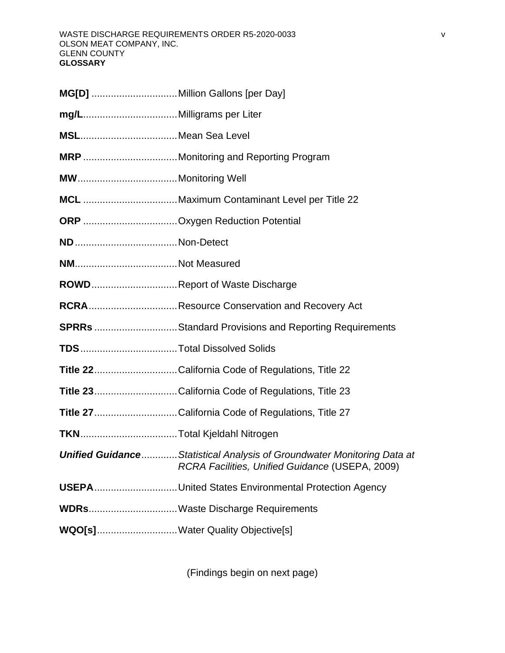| <b>ROWD</b> Report of Waste Discharge                                                                                             |
|-----------------------------------------------------------------------------------------------------------------------------------|
|                                                                                                                                   |
| <b>SPRRs</b> Standard Provisions and Reporting Requirements                                                                       |
|                                                                                                                                   |
| Title 22California Code of Regulations, Title 22                                                                                  |
| Title 23California Code of Regulations, Title 23                                                                                  |
| Title 27California Code of Regulations, Title 27                                                                                  |
|                                                                                                                                   |
| <b>Unified Guidance Statistical Analysis of Groundwater Monitoring Data at</b><br>RCRA Facilities, Unified Guidance (USEPA, 2009) |
| USEPAUnited States Environmental Protection Agency                                                                                |
| WDRsWaste Discharge Requirements                                                                                                  |
| WQO[s]Water Quality Objective[s]                                                                                                  |

(Findings begin on next page)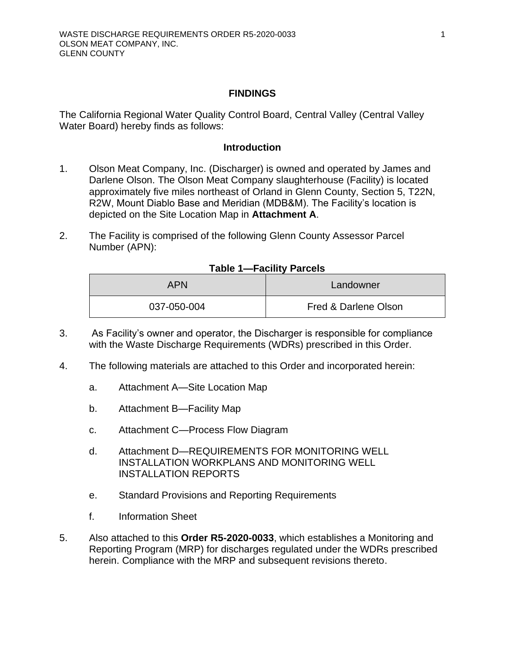### **FINDINGS**

<span id="page-6-0"></span>The California Regional Water Quality Control Board, Central Valley (Central Valley Water Board) hereby finds as follows:

#### **Introduction**

- <span id="page-6-1"></span>1. Olson Meat Company, Inc. (Discharger) is owned and operated by James and Darlene Olson. The Olson Meat Company slaughterhouse (Facility) is located approximately five miles northeast of Orland in Glenn County, Section 5, T22N, R2W, Mount Diablo Base and Meridian (MDB&M). The Facility's location is depicted on the Site Location Map in **Attachment A**.
- <span id="page-6-2"></span>2. The Facility is comprised of the following Glenn County Assessor Parcel Number (APN):

#### **Table 1—Facility Parcels**

| <b>APN</b>  | Landowner            |
|-------------|----------------------|
| 037-050-004 | Fred & Darlene Olson |

- 3. As Facility's owner and operator, the Discharger is responsible for compliance with the Waste Discharge Requirements (WDRs) prescribed in this Order.
- 4. The following materials are attached to this Order and incorporated herein:
	- a. [Attachment A—](#page-36-2)[Site Location Map](#page-36-1)
	- b. [Attachment B—](#page-38-2)[Facility Map](#page-38-1)
	- [c. Attachment C—](#page-40-2)[Process Flow Diagram](#page-40-1)
	- d. [Attachment D—](#page-42-2)[REQUIREMENTS FOR MONITORING WELL](#page-42-1) [INSTALLATION WORKPLANS AND MONITORING WELL](#page-42-1) [INSTALLATION REPORTS](#page-42-1)
	- e. [Standard Provisions and Reporting Requirements](#page-46-2)
	- f. [Information Sheet](#page-62-1)
- 5. Also attached to this **Order R5-2020-0033**, which establishes a Monitoring and Reporting Program (MRP) for discharges regulated under the WDRs prescribed herein. Compliance with the MRP and subsequent revisions thereto.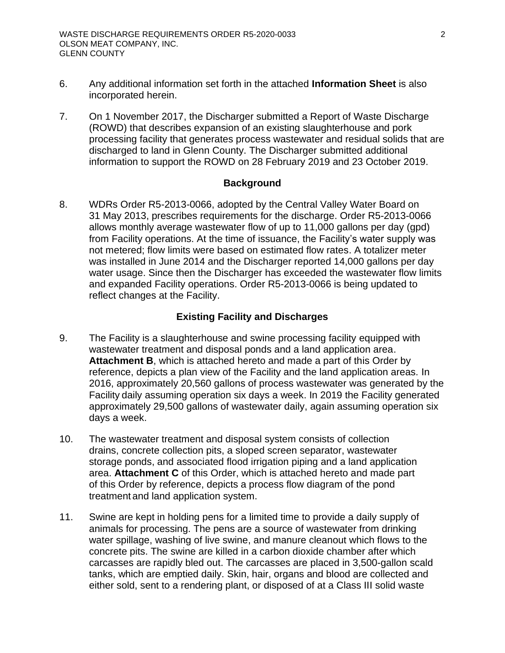- 6. Any additional information set forth in the attached **Information Sheet** is also incorporated herein.
- 7. On 1 November 2017, the Discharger submitted a Report of Waste Discharge (ROWD) that describes expansion of an existing slaughterhouse and pork processing facility that generates process wastewater and residual solids that are discharged to land in Glenn County. The Discharger submitted additional information to support the ROWD on 28 February 2019 and 23 October 2019.

#### **Background**

<span id="page-7-0"></span>8. WDRs Order R5-2013-0066, adopted by the Central Valley Water Board on 31 May 2013, prescribes requirements for the discharge. Order R5-2013-0066 allows monthly average wastewater flow of up to 11,000 gallons per day (gpd) from Facility operations. At the time of issuance, the Facility's water supply was not metered; flow limits were based on estimated flow rates. A totalizer meter was installed in June 2014 and the Discharger reported 14,000 gallons per day water usage. Since then the Discharger has exceeded the wastewater flow limits and expanded Facility operations. Order R5-2013-0066 is being updated to reflect changes at the Facility.

#### **Existing Facility and Discharges**

- <span id="page-7-1"></span>9. The Facility is a slaughterhouse and swine processing facility equipped with wastewater treatment and disposal ponds and a land application area. **Attachment B**, which is attached hereto and made a part of this Order by reference, depicts a plan view of the Facility and the land application areas. In 2016, approximately 20,560 gallons of process wastewater was generated by the Facility daily assuming operation six days a week. In 2019 the Facility generated approximately 29,500 gallons of wastewater daily, again assuming operation six days a week.
- 10. The wastewater treatment and disposal system consists of collection drains, concrete collection pits, a sloped screen separator, wastewater storage ponds, and associated flood irrigation piping and a land application area. **Attachment C** of this Order, which is attached hereto and made part of this Order by reference, depicts a process flow diagram of the pond treatment and land application system.
- 11. Swine are kept in holding pens for a limited time to provide a daily supply of animals for processing. The pens are a source of wastewater from drinking water spillage, washing of live swine, and manure cleanout which flows to the concrete pits. The swine are killed in a carbon dioxide chamber after which carcasses are rapidly bled out. The carcasses are placed in 3,500-gallon scald tanks, which are emptied daily. Skin, hair, organs and blood are collected and either sold, sent to a rendering plant, or disposed of at a Class III solid waste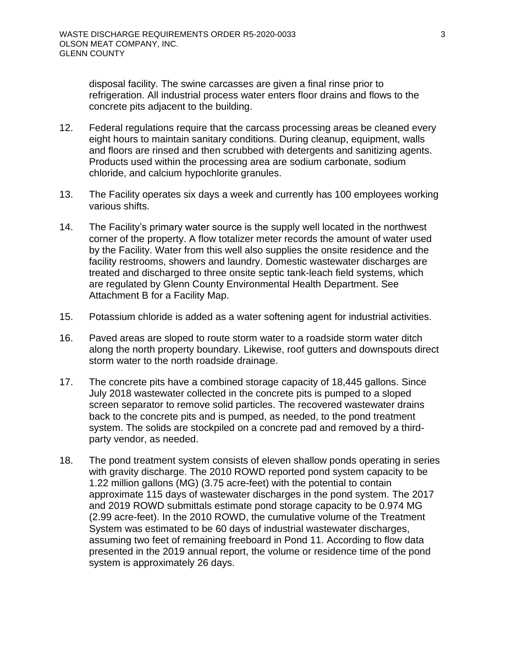disposal facility. The swine carcasses are given a final rinse prior to refrigeration. All industrial process water enters floor drains and flows to the concrete pits adjacent to the building.

- 12. Federal regulations require that the carcass processing areas be cleaned every eight hours to maintain sanitary conditions. During cleanup, equipment, walls and floors are rinsed and then scrubbed with detergents and sanitizing agents. Products used within the processing area are sodium carbonate, sodium chloride, and calcium hypochlorite granules.
- 13. The Facility operates six days a week and currently has 100 employees working various shifts.
- 14. The Facility's primary water source is the supply well located in the northwest corner of the property. A flow totalizer meter records the amount of water used by the Facility. Water from this well also supplies the onsite residence and the facility restrooms, showers and laundry. Domestic wastewater discharges are treated and discharged to three onsite septic tank-leach field systems, which are regulated by Glenn County Environmental Health Department. See Attachment B for a Facility Map.
- 15. Potassium chloride is added as a water softening agent for industrial activities.
- 16. Paved areas are sloped to route storm water to a roadside storm water ditch along the north property boundary. Likewise, roof gutters and downspouts direct storm water to the north roadside drainage.
- 17. The concrete pits have a combined storage capacity of 18,445 gallons. Since July 2018 wastewater collected in the concrete pits is pumped to a sloped screen separator to remove solid particles. The recovered wastewater drains back to the concrete pits and is pumped, as needed, to the pond treatment system. The solids are stockpiled on a concrete pad and removed by a thirdparty vendor, as needed.
- 18. The pond treatment system consists of eleven shallow ponds operating in series with gravity discharge. The 2010 ROWD reported pond system capacity to be 1.22 million gallons (MG) (3.75 acre-feet) with the potential to contain approximate 115 days of wastewater discharges in the pond system. The 2017 and 2019 ROWD submittals estimate pond storage capacity to be 0.974 MG (2.99 acre-feet). In the 2010 ROWD, the cumulative volume of the Treatment System was estimated to be 60 days of industrial wastewater discharges, assuming two feet of remaining freeboard in Pond 11. According to flow data presented in the 2019 annual report, the volume or residence time of the pond system is approximately 26 days.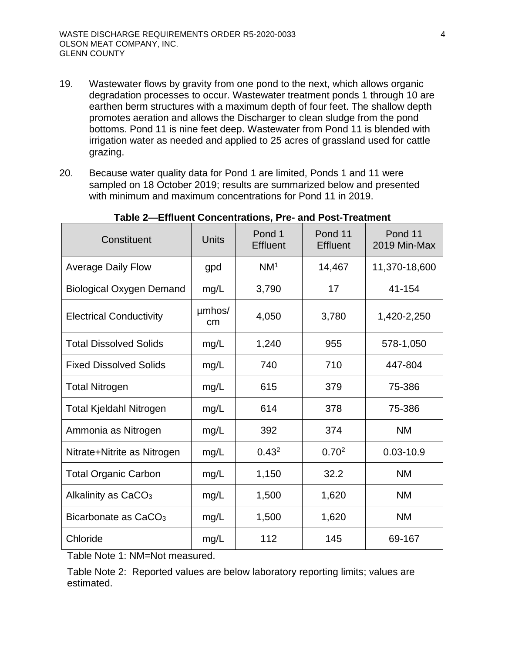- 19. Wastewater flows by gravity from one pond to the next, which allows organic degradation processes to occur. Wastewater treatment ponds 1 through 10 are earthen berm structures with a maximum depth of four feet. The shallow depth promotes aeration and allows the Discharger to clean sludge from the pond bottoms. Pond 11 is nine feet deep. Wastewater from Pond 11 is blended with irrigation water as needed and applied to 25 acres of grassland used for cattle grazing.
- 20. Because water quality data for Pond 1 are limited, Ponds 1 and 11 were sampled on 18 October 2019; results are summarized below and presented with minimum and maximum concentrations for Pond 11 in 2019.

<span id="page-9-0"></span>

| Constituent                      | <b>Units</b> | Pond 1<br><b>Effluent</b> | Pond 11<br><b>Effluent</b> | Pond 11<br>2019 Min-Max |
|----------------------------------|--------------|---------------------------|----------------------------|-------------------------|
| <b>Average Daily Flow</b>        | gpd          | NM <sup>1</sup>           | 14,467                     | 11,370-18,600           |
| <b>Biological Oxygen Demand</b>  | mg/L         | 3,790                     | 17                         | 41-154                  |
| <b>Electrical Conductivity</b>   | umhos/<br>cm | 4,050                     | 3,780                      | 1,420-2,250             |
| <b>Total Dissolved Solids</b>    | mg/L         | 1,240                     | 955                        | 578-1,050               |
| <b>Fixed Dissolved Solids</b>    | mg/L         | 740                       | 710                        | 447-804                 |
| <b>Total Nitrogen</b>            | mg/L         | 615                       | 379                        | 75-386                  |
| <b>Total Kjeldahl Nitrogen</b>   | mg/L         | 614                       | 378                        | 75-386                  |
| Ammonia as Nitrogen              | mg/L         | 392                       | 374                        | <b>NM</b>               |
| Nitrate+Nitrite as Nitrogen      | mg/L         | 0.43 <sup>2</sup>         | 0.70 <sup>2</sup>          | $0.03 - 10.9$           |
| <b>Total Organic Carbon</b>      | mg/L         | 1,150                     | 32.2                       | <b>NM</b>               |
| Alkalinity as CaCO <sub>3</sub>  | mg/L         | 1,500                     | 1,620                      | <b>NM</b>               |
| Bicarbonate as CaCO <sub>3</sub> | mg/L         | 1,500                     | 1,620                      | <b>NM</b>               |
| Chloride                         | mg/L         | 112                       | 145                        | 69-167                  |

### **Table 2—Effluent Concentrations, Pre- and Post-Treatment**

Table Note 1: NM=Not measured.

Table Note 2: Reported values are below laboratory reporting limits; values are estimated.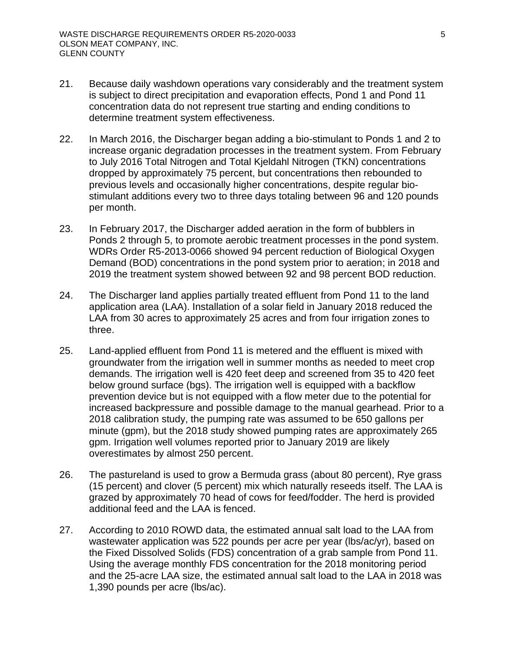- 21. Because daily washdown operations vary considerably and the treatment system is subject to direct precipitation and evaporation effects, Pond 1 and Pond 11 concentration data do not represent true starting and ending conditions to determine treatment system effectiveness.
- 22. In March 2016, the Discharger began adding a bio-stimulant to Ponds 1 and 2 to increase organic degradation processes in the treatment system. From February to July 2016 Total Nitrogen and Total Kjeldahl Nitrogen (TKN) concentrations dropped by approximately 75 percent, but concentrations then rebounded to previous levels and occasionally higher concentrations, despite regular biostimulant additions every two to three days totaling between 96 and 120 pounds per month.
- 23. In February 2017, the Discharger added aeration in the form of bubblers in Ponds 2 through 5, to promote aerobic treatment processes in the pond system. WDRs Order R5-2013-0066 showed 94 percent reduction of Biological Oxygen Demand (BOD) concentrations in the pond system prior to aeration; in 2018 and 2019 the treatment system showed between 92 and 98 percent BOD reduction.
- 24. The Discharger land applies partially treated effluent from Pond 11 to the land application area (LAA). Installation of a solar field in January 2018 reduced the LAA from 30 acres to approximately 25 acres and from four irrigation zones to three.
- 25. Land-applied effluent from Pond 11 is metered and the effluent is mixed with groundwater from the irrigation well in summer months as needed to meet crop demands. The irrigation well is 420 feet deep and screened from 35 to 420 feet below ground surface (bgs). The irrigation well is equipped with a backflow prevention device but is not equipped with a flow meter due to the potential for increased backpressure and possible damage to the manual gearhead. Prior to a 2018 calibration study, the pumping rate was assumed to be 650 gallons per minute (gpm), but the 2018 study showed pumping rates are approximately 265 gpm. Irrigation well volumes reported prior to January 2019 are likely overestimates by almost 250 percent.
- 26. The pastureland is used to grow a Bermuda grass (about 80 percent), Rye grass (15 percent) and clover (5 percent) mix which naturally reseeds itself. The LAA is grazed by approximately 70 head of cows for feed/fodder. The herd is provided additional feed and the LAA is fenced.
- 27. According to 2010 ROWD data, the estimated annual salt load to the LAA from wastewater application was 522 pounds per acre per year (lbs/ac/yr), based on the Fixed Dissolved Solids (FDS) concentration of a grab sample from Pond 11. Using the average monthly FDS concentration for the 2018 monitoring period and the 25-acre LAA size, the estimated annual salt load to the LAA in 2018 was 1,390 pounds per acre (lbs/ac).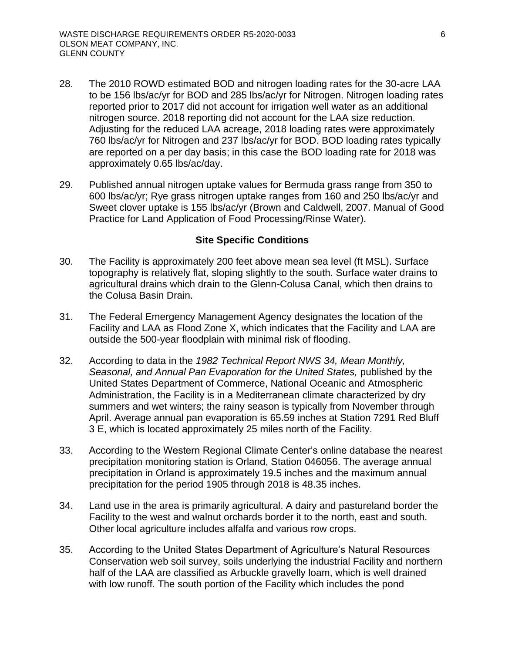- 28. The 2010 ROWD estimated BOD and nitrogen loading rates for the 30-acre LAA to be 156 lbs/ac/yr for BOD and 285 lbs/ac/yr for Nitrogen. Nitrogen loading rates reported prior to 2017 did not account for irrigation well water as an additional nitrogen source. 2018 reporting did not account for the LAA size reduction. Adjusting for the reduced LAA acreage, 2018 loading rates were approximately 760 lbs/ac/yr for Nitrogen and 237 lbs/ac/yr for BOD. BOD loading rates typically are reported on a per day basis; in this case the BOD loading rate for 2018 was approximately 0.65 lbs/ac/day.
- 29. Published annual nitrogen uptake values for Bermuda grass range from 350 to 600 lbs/ac/yr; Rye grass nitrogen uptake ranges from 160 and 250 lbs/ac/yr and Sweet clover uptake is 155 lbs/ac/yr (Brown and Caldwell, 2007. Manual of Good Practice for Land Application of Food Processing/Rinse Water).

#### **Site Specific Conditions**

- <span id="page-11-0"></span>30. The Facility is approximately 200 feet above mean sea level (ft MSL). Surface topography is relatively flat, sloping slightly to the south. Surface water drains to agricultural drains which drain to the Glenn-Colusa Canal, which then drains to the Colusa Basin Drain.
- 31. The Federal Emergency Management Agency designates the location of the Facility and LAA as Flood Zone X, which indicates that the Facility and LAA are outside the 500-year floodplain with minimal risk of flooding.
- 32. According to data in the *1982 Technical Report NWS 34, Mean Monthly, Seasonal, and Annual Pan Evaporation for the United States,* published by the United States Department of Commerce, National Oceanic and Atmospheric Administration, the Facility is in a Mediterranean climate characterized by dry summers and wet winters; the rainy season is typically from November through April. Average annual pan evaporation is 65.59 inches at Station 7291 Red Bluff 3 E, which is located approximately 25 miles north of the Facility.
- 33. According to the Western Regional Climate Center's online database the nearest precipitation monitoring station is Orland, Station 046056. The average annual precipitation in Orland is approximately 19.5 inches and the maximum annual precipitation for the period 1905 through 2018 is 48.35 inches.
- 34. Land use in the area is primarily agricultural. A dairy and pastureland border the Facility to the west and walnut orchards border it to the north, east and south. Other local agriculture includes alfalfa and various row crops.
- 35. According to the United States Department of Agriculture's Natural Resources Conservation web soil survey, soils underlying the industrial Facility and northern half of the LAA are classified as Arbuckle gravelly loam, which is well drained with low runoff. The south portion of the Facility which includes the pond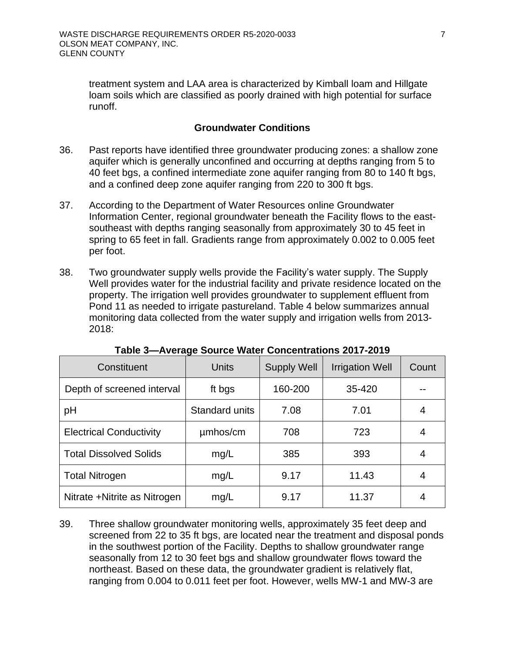treatment system and LAA area is characterized by Kimball loam and Hillgate loam soils which are classified as poorly drained with high potential for surface runoff.

### **Groundwater Conditions**

- <span id="page-12-0"></span>36. Past reports have identified three groundwater producing zones: a shallow zone aquifer which is generally unconfined and occurring at depths ranging from 5 to 40 feet bgs, a confined intermediate zone aquifer ranging from 80 to 140 ft bgs, and a confined deep zone aquifer ranging from 220 to 300 ft bgs.
- 37. According to the Department of Water Resources online Groundwater Information Center, regional groundwater beneath the Facility flows to the eastsoutheast with depths ranging seasonally from approximately 30 to 45 feet in spring to 65 feet in fall. Gradients range from approximately 0.002 to 0.005 feet per foot.
- 38. Two groundwater supply wells provide the Facility's water supply. The Supply Well provides water for the industrial facility and private residence located on the property. The irrigation well provides groundwater to supplement effluent from Pond 11 as needed to irrigate pastureland. Table 4 below summarizes annual monitoring data collected from the water supply and irrigation wells from 2013- 2018:

<span id="page-12-1"></span>

| Constituent                    | Units          | <b>Supply Well</b> | <b>Irrigation Well</b> | Count |
|--------------------------------|----------------|--------------------|------------------------|-------|
| Depth of screened interval     | ft bgs         | 160-200            | 35-420                 |       |
| рH                             | Standard units | 7.08               | 7.01                   |       |
| <b>Electrical Conductivity</b> | umhos/cm       | 708                | 723                    | 4     |
| <b>Total Dissolved Solids</b>  | mg/L           | 385                | 393                    | 4     |
| <b>Total Nitrogen</b>          | mg/L           | 9.17               | 11.43                  | 4     |
| Nitrate + Nitrite as Nitrogen  | mg/L           | 9.17               | 11.37                  |       |

**Table 3—Average Source Water Concentrations 2017-2019** 

39. Three shallow groundwater monitoring wells, approximately 35 feet deep and screened from 22 to 35 ft bgs, are located near the treatment and disposal ponds in the southwest portion of the Facility. Depths to shallow groundwater range seasonally from 12 to 30 feet bgs and shallow groundwater flows toward the northeast. Based on these data, the groundwater gradient is relatively flat, ranging from 0.004 to 0.011 feet per foot. However, wells MW-1 and MW-3 are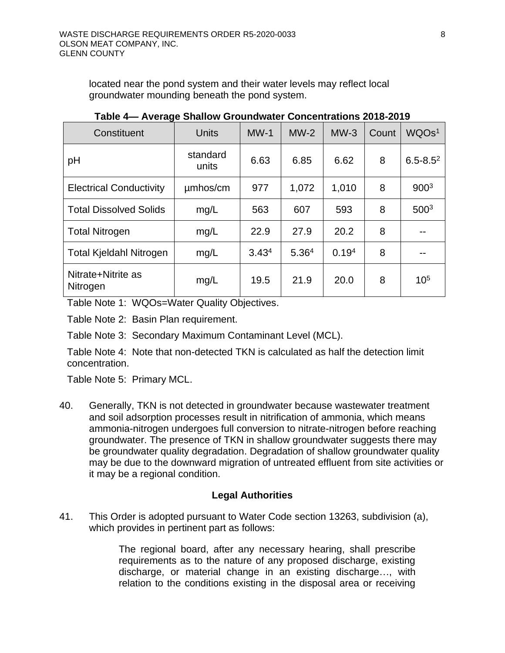located near the pond system and their water levels may reflect local groundwater mounding beneath the pond system.

<span id="page-13-1"></span>

| Constituent                    | <b>Units</b>      | $MW-1$            | $MW-2$            | $MW-3$            | Count | WQOs <sup>1</sup> |
|--------------------------------|-------------------|-------------------|-------------------|-------------------|-------|-------------------|
| pH                             | standard<br>units | 6.63              | 6.85              | 6.62              | 8     | $6.5 - 8.5^2$     |
| <b>Electrical Conductivity</b> | umhos/cm          | 977               | 1,072             | 1,010             | 8     | 900 <sup>3</sup>  |
| <b>Total Dissolved Solids</b>  | mg/L              | 563               | 607               | 593               | 8     | 500 <sup>3</sup>  |
| <b>Total Nitrogen</b>          | mg/L              | 22.9              | 27.9              | 20.2              | 8     |                   |
| <b>Total Kjeldahl Nitrogen</b> | mg/L              | 3.43 <sup>4</sup> | 5.36 <sup>4</sup> | 0.19 <sup>4</sup> | 8     | --                |
| Nitrate+Nitrite as<br>Nitrogen | mg/L              | 19.5              | 21.9              | 20.0              | 8     | $10^{5}$          |

**Table 4— Average Shallow Groundwater Concentrations 2018-2019** 

Table Note 1: WQOs=Water Quality Objectives.

Table Note 2: Basin Plan requirement.

Table Note 3: Secondary Maximum Contaminant Level (MCL).

Table Note 4: Note that non-detected TKN is calculated as half the detection limit concentration.

Table Note 5: Primary MCL.

40. Generally, TKN is not detected in groundwater because wastewater treatment and soil adsorption processes result in nitrification of ammonia, which means ammonia-nitrogen undergoes full conversion to nitrate-nitrogen before reaching groundwater. The presence of TKN in shallow groundwater suggests there may be groundwater quality degradation. Degradation of shallow groundwater quality may be due to the downward migration of untreated effluent from site activities or it may be a regional condition.

# **Legal Authorities**

<span id="page-13-0"></span>41. This Order is adopted pursuant to Water Code section 13263, subdivision (a), which provides in pertinent part as follows:

> The regional board, after any necessary hearing, shall prescribe requirements as to the nature of any proposed discharge, existing discharge, or material change in an existing discharge…, with relation to the conditions existing in the disposal area or receiving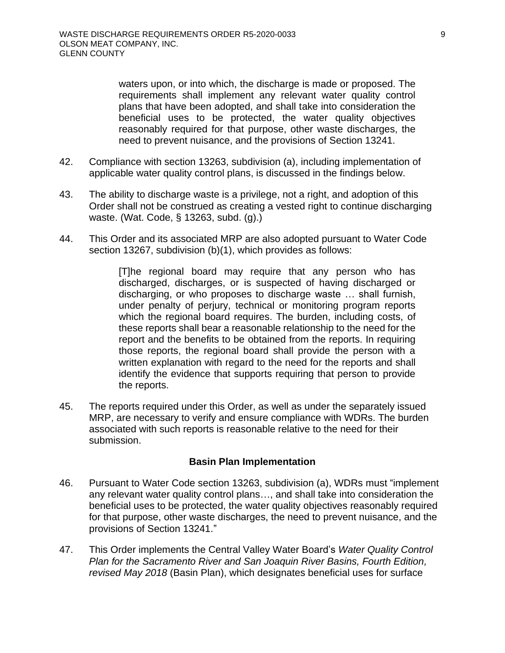waters upon, or into which, the discharge is made or proposed. The requirements shall implement any relevant water quality control plans that have been adopted, and shall take into consideration the beneficial uses to be protected, the water quality objectives reasonably required for that purpose, other waste discharges, the need to prevent nuisance, and the provisions of Section 13241.

- 42. Compliance with section 13263, subdivision (a), including implementation of applicable water quality control plans, is discussed in the findings below.
- 43. The ability to discharge waste is a privilege, not a right, and adoption of this Order shall not be construed as creating a vested right to continue discharging waste. (Wat. Code, § 13263, subd. (g).)
- 44. This Order and its associated MRP are also adopted pursuant to Water Code section 13267, subdivision (b)(1), which provides as follows:

[T]he regional board may require that any person who has discharged, discharges, or is suspected of having discharged or discharging, or who proposes to discharge waste … shall furnish, under penalty of perjury, technical or monitoring program reports which the regional board requires. The burden, including costs, of these reports shall bear a reasonable relationship to the need for the report and the benefits to be obtained from the reports. In requiring those reports, the regional board shall provide the person with a written explanation with regard to the need for the reports and shall identify the evidence that supports requiring that person to provide the reports.

45. The reports required under this Order, as well as under the separately issued MRP, are necessary to verify and ensure compliance with WDRs. The burden associated with such reports is reasonable relative to the need for their submission.

### **Basin Plan Implementation**

- <span id="page-14-0"></span>46. Pursuant to Water Code section 13263, subdivision (a), WDRs must "implement any relevant water quality control plans…, and shall take into consideration the beneficial uses to be protected, the water quality objectives reasonably required for that purpose, other waste discharges, the need to prevent nuisance, and the provisions of Section 13241."
- 47. This Order implements the Central Valley Water Board's *Water Quality Control Plan for the Sacramento River and San Joaquin River Basins, Fourth Edition, revised May 2018* (Basin Plan), which designates beneficial uses for surface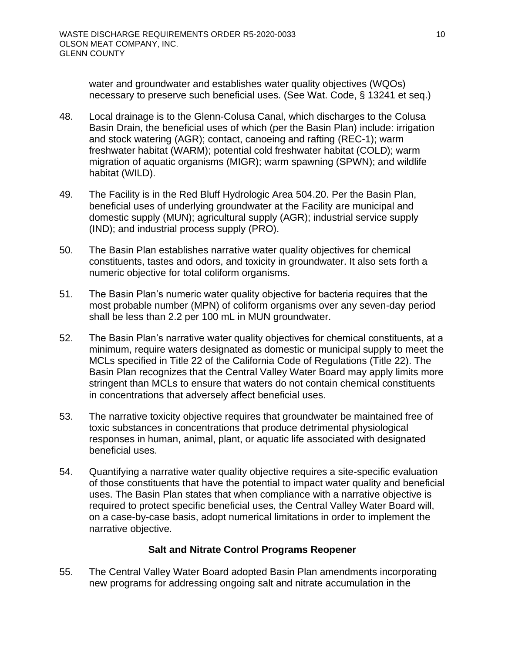water and groundwater and establishes water quality objectives (WQOs) necessary to preserve such beneficial uses. (See Wat. Code, § 13241 et seq.)

- 48. Local drainage is to the Glenn-Colusa Canal, which discharges to the Colusa Basin Drain, the beneficial uses of which (per the Basin Plan) include: irrigation and stock watering (AGR); contact, canoeing and rafting (REC-1); warm freshwater habitat (WARM); potential cold freshwater habitat (COLD); warm migration of aquatic organisms (MIGR); warm spawning (SPWN); and wildlife habitat (WILD).
- 49. The Facility is in the Red Bluff Hydrologic Area 504.20. Per the Basin Plan, beneficial uses of underlying groundwater at the Facility are municipal and domestic supply (MUN); agricultural supply (AGR); industrial service supply (IND); and industrial process supply (PRO).
- 50. The Basin Plan establishes narrative water quality objectives for chemical constituents, tastes and odors, and toxicity in groundwater. It also sets forth a numeric objective for total coliform organisms.
- 51. The Basin Plan's numeric water quality objective for bacteria requires that the most probable number (MPN) of coliform organisms over any seven-day period shall be less than 2.2 per 100 mL in MUN groundwater.
- 52. The Basin Plan's narrative water quality objectives for chemical constituents, at a minimum, require waters designated as domestic or municipal supply to meet the MCLs specified in Title 22 of the California Code of Regulations (Title 22). The Basin Plan recognizes that the Central Valley Water Board may apply limits more stringent than MCLs to ensure that waters do not contain chemical constituents in concentrations that adversely affect beneficial uses.
- 53. The narrative toxicity objective requires that groundwater be maintained free of toxic substances in concentrations that produce detrimental physiological responses in human, animal, plant, or aquatic life associated with designated beneficial uses.
- 54. Quantifying a narrative water quality objective requires a site-specific evaluation of those constituents that have the potential to impact water quality and beneficial uses. The Basin Plan states that when compliance with a narrative objective is required to protect specific beneficial uses, the Central Valley Water Board will, on a case-by-case basis, adopt numerical limitations in order to implement the narrative objective.

# **Salt and Nitrate Control Programs Reopener**

<span id="page-15-0"></span>55. The Central Valley Water Board adopted Basin Plan amendments incorporating new programs for addressing ongoing salt and nitrate accumulation in the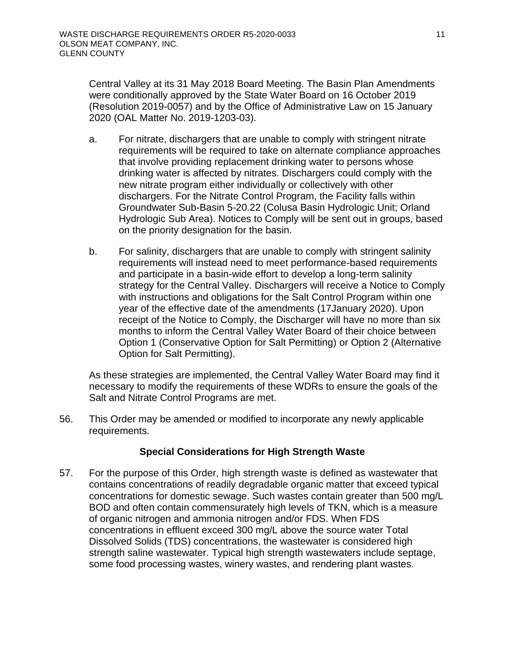Central Valley at its 31 May 2018 Board Meeting. The Basin Plan Amendments were conditionally approved by the State Water Board on 16 October 2019 (Resolution 2019-0057) and by the Office of Administrative Law on 15 January 2020 (OAL Matter No. 2019-1203-03).

- a. For nitrate, dischargers that are unable to comply with stringent nitrate requirements will be required to take on alternate compliance approaches that involve providing replacement drinking water to persons whose drinking water is affected by nitrates. Dischargers could comply with the new nitrate program either individually or collectively with other dischargers. For the Nitrate Control Program, the Facility falls within Groundwater Sub-Basin 5-20.22 (Colusa Basin Hydrologic Unit; Orland Hydrologic Sub Area). Notices to Comply will be sent out in groups, based on the priority designation for the basin.
- b. For salinity, dischargers that are unable to comply with stringent salinity requirements will instead need to meet performance-based requirements and participate in a basin-wide effort to develop a long-term salinity strategy for the Central Valley. Dischargers will receive a Notice to Comply with instructions and obligations for the Salt Control Program within one year of the effective date of the amendments (17January 2020). Upon receipt of the Notice to Comply, the Discharger will have no more than six months to inform the Central Valley Water Board of their choice between Option 1 (Conservative Option for Salt Permitting) or Option 2 (Alternative Option for Salt Permitting).

As these strategies are implemented, the Central Valley Water Board may find it necessary to modify the requirements of these WDRs to ensure the goals of the Salt and Nitrate Control Programs are met.

56. This Order may be amended or modified to incorporate any newly applicable requirements.

# **Special Considerations for High Strength Waste**

<span id="page-16-0"></span>57. For the purpose of this Order, high strength waste is defined as wastewater that contains concentrations of readily degradable organic matter that exceed typical concentrations for domestic sewage. Such wastes contain greater than 500 mg/L BOD and often contain commensurately high levels of TKN, which is a measure of organic nitrogen and ammonia nitrogen and/or FDS. When FDS concentrations in effluent exceed 300 mg/L above the source water Total Dissolved Solids (TDS) concentrations, the wastewater is considered high strength saline wastewater. Typical high strength wastewaters include septage, some food processing wastes, winery wastes, and rendering plant wastes.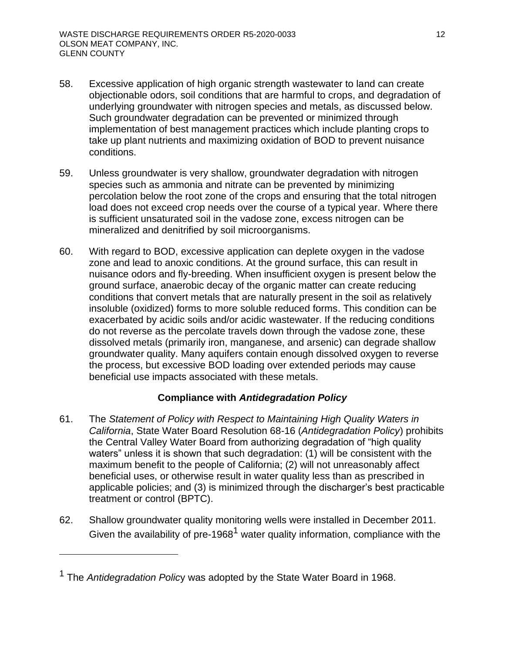- 58. Excessive application of high organic strength wastewater to land can create objectionable odors, soil conditions that are harmful to crops, and degradation of underlying groundwater with nitrogen species and metals, as discussed below. Such groundwater degradation can be prevented or minimized through implementation of best management practices which include planting crops to take up plant nutrients and maximizing oxidation of BOD to prevent nuisance conditions.
- 59. Unless groundwater is very shallow, groundwater degradation with nitrogen species such as ammonia and nitrate can be prevented by minimizing percolation below the root zone of the crops and ensuring that the total nitrogen load does not exceed crop needs over the course of a typical year. Where there is sufficient unsaturated soil in the vadose zone, excess nitrogen can be mineralized and denitrified by soil microorganisms.
- 60. With regard to BOD, excessive application can deplete oxygen in the vadose zone and lead to anoxic conditions. At the ground surface, this can result in nuisance odors and fly-breeding. When insufficient oxygen is present below the ground surface, anaerobic decay of the organic matter can create reducing conditions that convert metals that are naturally present in the soil as relatively insoluble (oxidized) forms to more soluble reduced forms. This condition can be exacerbated by acidic soils and/or acidic wastewater. If the reducing conditions do not reverse as the percolate travels down through the vadose zone, these dissolved metals (primarily iron, manganese, and arsenic) can degrade shallow groundwater quality. Many aquifers contain enough dissolved oxygen to reverse the process, but excessive BOD loading over extended periods may cause beneficial use impacts associated with these metals.

# **Compliance with** *Antidegradation Policy*

- <span id="page-17-0"></span>61. The *Statement of Policy with Respect to Maintaining High Quality Waters in California*, State Water Board Resolution 68-16 (*Antidegradation Policy*) prohibits the Central Valley Water Board from authorizing degradation of "high quality waters" unless it is shown that such degradation: (1) will be consistent with the maximum benefit to the people of California; (2) will not unreasonably affect beneficial uses, or otherwise result in water quality less than as prescribed in applicable policies; and (3) is minimized through the discharger's best practicable treatment or control (BPTC).
- 62. Shallow groundwater quality monitoring wells were installed in December 2011. Given the availability of pre-1968<sup>1</sup> water quality information, compliance with the

<sup>1</sup> The *Antidegradation Polic*y was adopted by the State Water Board in 1968.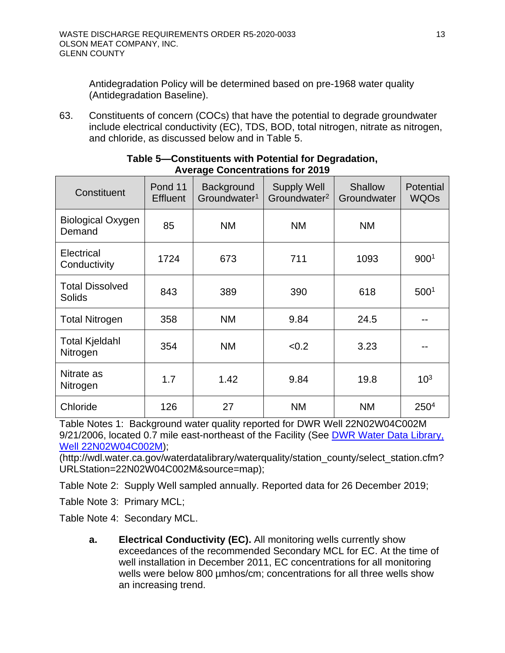Antidegradation Policy will be determined based on pre-1968 water quality (Antidegradation Baseline).

63. Constituents of concern (COCs) that have the potential to degrade groundwater include electrical conductivity (EC), TDS, BOD, total nitrogen, nitrate as nitrogen, and chloride, as discussed below and in Table 5.

<span id="page-18-0"></span>

| Constituent                             | Pond 11<br><b>Effluent</b> | Background<br>Groundwater <sup>1</sup> | <b>Supply Well</b><br>Groundwater <sup>2</sup> | Shallow<br>Groundwater | Potential<br><b>WQOs</b> |
|-----------------------------------------|----------------------------|----------------------------------------|------------------------------------------------|------------------------|--------------------------|
| <b>Biological Oxygen</b><br>Demand      | 85                         | <b>NM</b>                              | <b>NM</b>                                      | <b>NM</b>              |                          |
| Electrical<br>Conductivity              | 1724                       | 673                                    | 711                                            | 1093                   | 9001                     |
| <b>Total Dissolved</b><br><b>Solids</b> | 843                        | 389                                    | 390                                            | 618                    | 500 <sup>1</sup>         |
| <b>Total Nitrogen</b>                   | 358                        | <b>NM</b>                              | 9.84                                           | 24.5                   |                          |
| <b>Total Kjeldahl</b><br>Nitrogen       | 354                        | <b>NM</b>                              | < 0.2                                          | 3.23                   |                          |
| Nitrate as<br>Nitrogen                  | 1.7                        | 1.42                                   | 9.84                                           | 19.8                   | 10 <sup>3</sup>          |
| Chloride                                | 126                        | 27                                     | <b>NM</b>                                      | <b>NM</b>              | 250 <sup>4</sup>         |

#### **Table 5—Constituents with Potential for Degradation, Average Concentrations for 2019**

Table Notes 1: Background water quality reported for DWR Well 22N02W04C002M 9/21/2006, located 0.7 mile east-northeast of the Facility (See [DWR Water Data Library,](http://wdl.water.ca.gov/waterdatalibrary/waterquality/station_county/select_station.cfm?URLStation=22N02W04C002M&source=map)  [Well 22N02W04C002M\)](http://wdl.water.ca.gov/waterdatalibrary/waterquality/station_county/select_station.cfm?URLStation=22N02W04C002M&source=map);

(http://wdl.water.ca.gov/waterdatalibrary/waterquality/station\_county/select\_station.cfm? URLStation=22N02W04C002M&source=map);

Table Note 2: Supply Well sampled annually. Reported data for 26 December 2019;

Table Note 3: Primary MCL;

Table Note 4: Secondary MCL.

**a. Electrical Conductivity (EC).** All monitoring wells currently show exceedances of the recommended Secondary MCL for EC. At the time of well installation in December 2011, EC concentrations for all monitoring wells were below 800 umhos/cm; concentrations for all three wells show an increasing trend.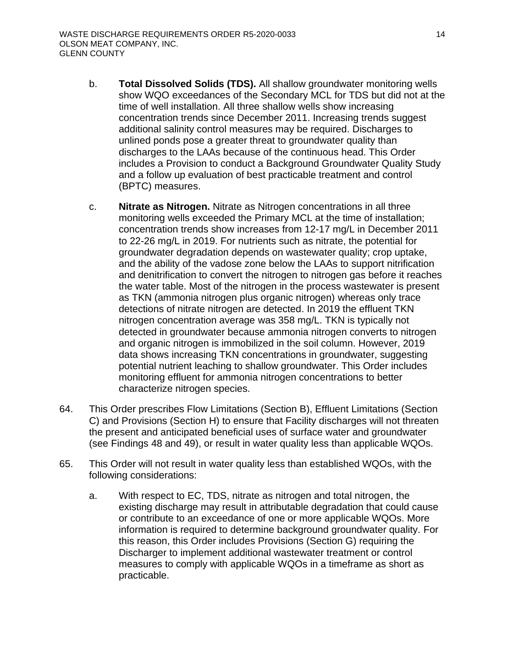- b. **Total Dissolved Solids (TDS).** All shallow groundwater monitoring wells show WQO exceedances of the Secondary MCL for TDS but did not at the time of well installation. All three shallow wells show increasing concentration trends since December 2011. Increasing trends suggest additional salinity control measures may be required. Discharges to unlined ponds pose a greater threat to groundwater quality than discharges to the LAAs because of the continuous head. This Order includes a Provision to conduct a Background Groundwater Quality Study and a follow up evaluation of best practicable treatment and control (BPTC) measures.
- c. **Nitrate as Nitrogen.** Nitrate as Nitrogen concentrations in all three monitoring wells exceeded the Primary MCL at the time of installation; concentration trends show increases from 12-17 mg/L in December 2011 to 22-26 mg/L in 2019. For nutrients such as nitrate, the potential for groundwater degradation depends on wastewater quality; crop uptake, and the ability of the vadose zone below the LAAs to support nitrification and denitrification to convert the nitrogen to nitrogen gas before it reaches the water table. Most of the nitrogen in the process wastewater is present as TKN (ammonia nitrogen plus organic nitrogen) whereas only trace detections of nitrate nitrogen are detected. In 2019 the effluent TKN nitrogen concentration average was 358 mg/L. TKN is typically not detected in groundwater because ammonia nitrogen converts to nitrogen and organic nitrogen is immobilized in the soil column. However, 2019 data shows increasing TKN concentrations in groundwater, suggesting potential nutrient leaching to shallow groundwater. This Order includes monitoring effluent for ammonia nitrogen concentrations to better characterize nitrogen species.
- 64. This Order prescribes Flow Limitations (Section B), Effluent Limitations (Section C) and Provisions (Section H) to ensure that Facility discharges will not threaten the present and anticipated beneficial uses of surface water and groundwater (see Findings 48 and 49), or result in water quality less than applicable WQOs.
- 65. This Order will not result in water quality less than established WQOs, with the following considerations:
	- a. With respect to EC, TDS, nitrate as nitrogen and total nitrogen, the existing discharge may result in attributable degradation that could cause or contribute to an exceedance of one or more applicable WQOs. More information is required to determine background groundwater quality. For this reason, this Order includes Provisions (Section G) requiring the Discharger to implement additional wastewater treatment or control measures to comply with applicable WQOs in a timeframe as short as practicable.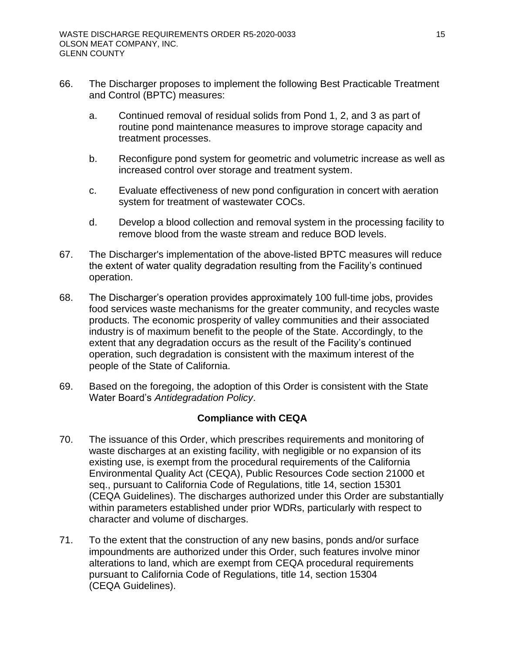- 66. The Discharger proposes to implement the following Best Practicable Treatment and Control (BPTC) measures:
	- a. Continued removal of residual solids from Pond 1, 2, and 3 as part of routine pond maintenance measures to improve storage capacity and treatment processes.
	- b. Reconfigure pond system for geometric and volumetric increase as well as increased control over storage and treatment system.
	- c. Evaluate effectiveness of new pond configuration in concert with aeration system for treatment of wastewater COCs.
	- d. Develop a blood collection and removal system in the processing facility to remove blood from the waste stream and reduce BOD levels.
- 67. The Discharger's implementation of the above-listed BPTC measures will reduce the extent of water quality degradation resulting from the Facility's continued operation.
- 68. The Discharger's operation provides approximately 100 full-time jobs, provides food services waste mechanisms for the greater community, and recycles waste products. The economic prosperity of valley communities and their associated industry is of maximum benefit to the people of the State. Accordingly, to the extent that any degradation occurs as the result of the Facility's continued operation, such degradation is consistent with the maximum interest of the people of the State of California.
- 69. Based on the foregoing, the adoption of this Order is consistent with the State Water Board's *Antidegradation Policy*.

# **Compliance with CEQA**

- <span id="page-20-0"></span>70. The issuance of this Order, which prescribes requirements and monitoring of waste discharges at an existing facility, with negligible or no expansion of its existing use, is exempt from the procedural requirements of the California Environmental Quality Act (CEQA), Public Resources Code section 21000 et seq., pursuant to California Code of Regulations, title 14, section 15301 (CEQA Guidelines). The discharges authorized under this Order are substantially within parameters established under prior WDRs, particularly with respect to character and volume of discharges.
- 71. To the extent that the construction of any new basins, ponds and/or surface impoundments are authorized under this Order, such features involve minor alterations to land, which are exempt from CEQA procedural requirements pursuant to California Code of Regulations, title 14, section 15304 (CEQA Guidelines).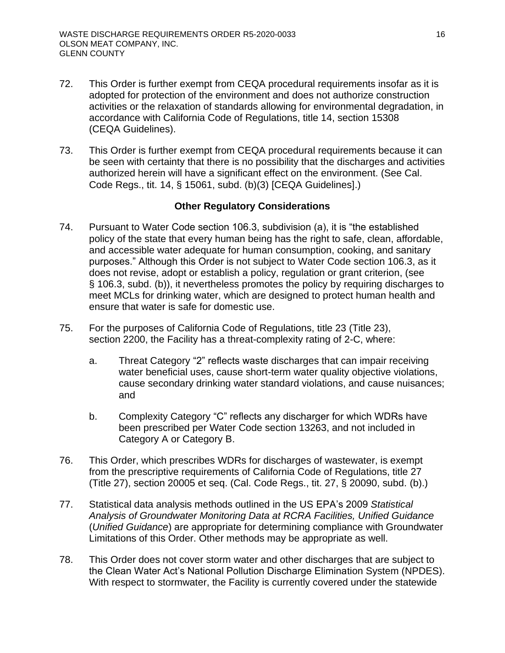- 72. This Order is further exempt from CEQA procedural requirements insofar as it is adopted for protection of the environment and does not authorize construction activities or the relaxation of standards allowing for environmental degradation, in accordance with California Code of Regulations, title 14, section 15308 (CEQA Guidelines).
- 73. This Order is further exempt from CEQA procedural requirements because it can be seen with certainty that there is no possibility that the discharges and activities authorized herein will have a significant effect on the environment. (See Cal. Code Regs., tit. 14, § 15061, subd. (b)(3) [CEQA Guidelines].)

### **Other Regulatory Considerations**

- <span id="page-21-0"></span>74. Pursuant to Water Code section 106.3, subdivision (a), it is "the established policy of the state that every human being has the right to safe, clean, affordable, and accessible water adequate for human consumption, cooking, and sanitary purposes." Although this Order is not subject to Water Code section 106.3, as it does not revise, adopt or establish a policy, regulation or grant criterion, (see § 106.3, subd. (b)), it nevertheless promotes the policy by requiring discharges to meet MCLs for drinking water, which are designed to protect human health and ensure that water is safe for domestic use.
- 75. For the purposes of California Code of Regulations, title 23 (Title 23), section 2200, the Facility has a threat-complexity rating of 2-C, where:
	- a. Threat Category "2" reflects waste discharges that can impair receiving water beneficial uses, cause short-term water quality objective violations, cause secondary drinking water standard violations, and cause nuisances; and
	- b. Complexity Category "C" reflects any discharger for which WDRs have been prescribed per Water Code section 13263, and not included in Category A or Category B.
- 76. This Order, which prescribes WDRs for discharges of wastewater, is exempt from the prescriptive requirements of California Code of Regulations, title 27 (Title 27), section 20005 et seq. (Cal. Code Regs., tit. 27, § 20090, subd. (b).)
- 77. Statistical data analysis methods outlined in the US EPA's 2009 *Statistical Analysis of Groundwater Monitoring Data at RCRA Facilities, Unified Guidance* (*Unified Guidance*) are appropriate for determining compliance with Groundwater Limitations of this Order. Other methods may be appropriate as well.
- 78. This Order does not cover storm water and other discharges that are subject to the Clean Water Act's National Pollution Discharge Elimination System (NPDES). With respect to stormwater, the Facility is currently covered under the statewide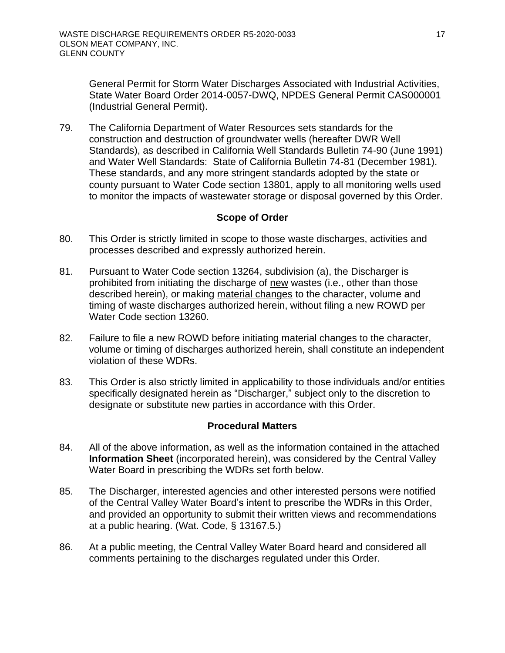General Permit for Storm Water Discharges Associated with Industrial Activities, State Water Board Order 2014-0057-DWQ, NPDES General Permit CAS000001 (Industrial General Permit).

79. The California Department of Water Resources sets standards for the construction and destruction of groundwater wells (hereafter DWR Well Standards), as described in California Well Standards Bulletin 74-90 (June 1991) and Water Well Standards: State of California Bulletin 74-81 (December 1981). These standards, and any more stringent standards adopted by the state or county pursuant to Water Code section 13801, apply to all monitoring wells used to monitor the impacts of wastewater storage or disposal governed by this Order.

### **Scope of Order**

- <span id="page-22-0"></span>80. This Order is strictly limited in scope to those waste discharges, activities and processes described and expressly authorized herein.
- 81. Pursuant to Water Code section 13264, subdivision (a), the Discharger is prohibited from initiating the discharge of new wastes (i.e., other than those described herein), or making material changes to the character, volume and timing of waste discharges authorized herein, without filing a new ROWD per Water Code section 13260.
- 82. Failure to file a new ROWD before initiating material changes to the character, volume or timing of discharges authorized herein, shall constitute an independent violation of these WDRs.
- 83. This Order is also strictly limited in applicability to those individuals and/or entities specifically designated herein as "Discharger," subject only to the discretion to designate or substitute new parties in accordance with this Order.

### **Procedural Matters**

- <span id="page-22-1"></span>84. All of the above information, as well as the information contained in the attached **Information Sheet** (incorporated herein), was considered by the Central Valley Water Board in prescribing the WDRs set forth below.
- 85. The Discharger, interested agencies and other interested persons were notified of the Central Valley Water Board's intent to prescribe the WDRs in this Order, and provided an opportunity to submit their written views and recommendations at a public hearing. (Wat. Code, § 13167.5.)
- 86. At a public meeting, the Central Valley Water Board heard and considered all comments pertaining to the discharges regulated under this Order.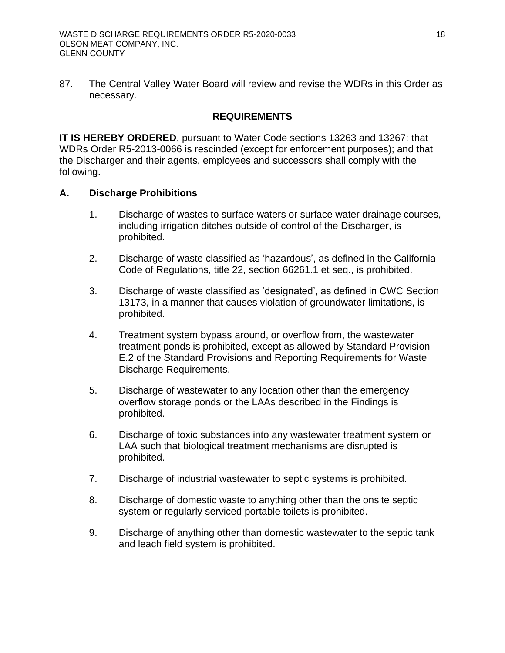87. The Central Valley Water Board will review and revise the WDRs in this Order as necessary.

### **REQUIREMENTS**

<span id="page-23-0"></span>**IT IS HEREBY ORDERED**, pursuant to Water Code sections 13263 and 13267: that WDRs Order R5-2013-0066 is rescinded (except for enforcement purposes); and that the Discharger and their agents, employees and successors shall comply with the following.

### <span id="page-23-1"></span>**A. Discharge Prohibitions**

- 1. Discharge of wastes to surface waters or surface water drainage courses, including irrigation ditches outside of control of the Discharger, is prohibited.
- 2. Discharge of waste classified as 'hazardous', as defined in the California Code of Regulations, title 22, section 66261.1 et seq., is prohibited.
- 3. Discharge of waste classified as 'designated', as defined in CWC Section 13173, in a manner that causes violation of groundwater limitations, is prohibited.
- 4. Treatment system bypass around, or overflow from, the wastewater treatment ponds is prohibited, except as allowed by Standard Provision E.2 of the Standard Provisions and Reporting Requirements for Waste Discharge Requirements.
- 5. Discharge of wastewater to any location other than the emergency overflow storage ponds or the LAAs described in the Findings is prohibited.
- 6. Discharge of toxic substances into any wastewater treatment system or LAA such that biological treatment mechanisms are disrupted is prohibited.
- 7. Discharge of industrial wastewater to septic systems is prohibited.
- 8. Discharge of domestic waste to anything other than the onsite septic system or regularly serviced portable toilets is prohibited.
- 9. Discharge of anything other than domestic wastewater to the septic tank and leach field system is prohibited.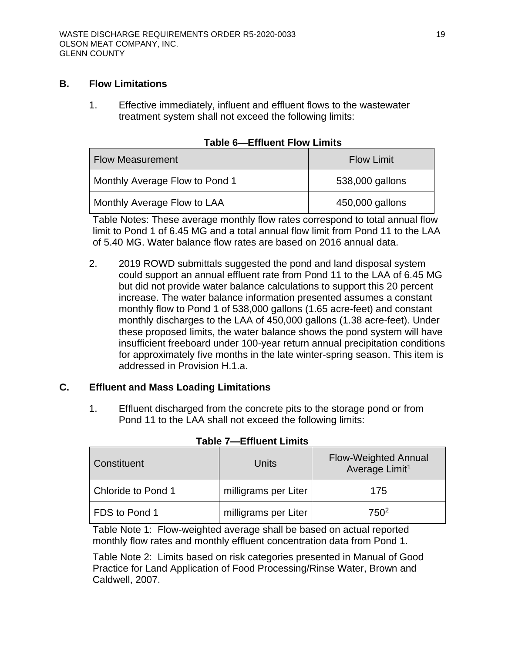### <span id="page-24-0"></span>**B. Flow Limitations**

1. Effective immediately, influent and effluent flows to the wastewater treatment system shall not exceed the following limits:

<span id="page-24-2"></span>

| <b>Flow Measurement</b>        | <b>Flow Limit</b> |
|--------------------------------|-------------------|
| Monthly Average Flow to Pond 1 | 538,000 gallons   |
| Monthly Average Flow to LAA    | 450,000 gallons   |

|  |  |  |  | Table 6-Effluent Flow Limits |
|--|--|--|--|------------------------------|
|--|--|--|--|------------------------------|

Table Notes: These average monthly flow rates correspond to total annual flow limit to Pond 1 of 6.45 MG and a total annual flow limit from Pond 11 to the LAA of 5.40 MG. Water balance flow rates are based on 2016 annual data.

2. 2019 ROWD submittals suggested the pond and land disposal system could support an annual effluent rate from Pond 11 to the LAA of 6.45 MG but did not provide water balance calculations to support this 20 percent increase. The water balance information presented assumes a constant monthly flow to Pond 1 of 538,000 gallons (1.65 acre-feet) and constant monthly discharges to the LAA of 450,000 gallons (1.38 acre-feet). Under these proposed limits, the water balance shows the pond system will have insufficient freeboard under 100-year return annual precipitation conditions for approximately five months in the late winter-spring season. This item is addressed in Provision H.1.a.

### <span id="page-24-1"></span>**C. Effluent and Mass Loading Limitations**

1. Effluent discharged from the concrete pits to the storage pond or from Pond 11 to the LAA shall not exceed the following limits:

<span id="page-24-3"></span>

| Constituent        | Units                | <b>Flow-Weighted Annual</b><br>Average Limit <sup>1</sup> |  |
|--------------------|----------------------|-----------------------------------------------------------|--|
| Chloride to Pond 1 | milligrams per Liter | 175                                                       |  |
| FDS to Pond 1      | milligrams per Liter | 750 <sup>2</sup>                                          |  |

|  | Table 7-Effluent Limits |  |
|--|-------------------------|--|
|--|-------------------------|--|

Table Note 1: Flow-weighted average shall be based on actual reported monthly flow rates and monthly effluent concentration data from Pond 1.

Table Note 2: Limits based on risk categories presented in Manual of Good Practice for Land Application of Food Processing/Rinse Water, Brown and Caldwell, 2007.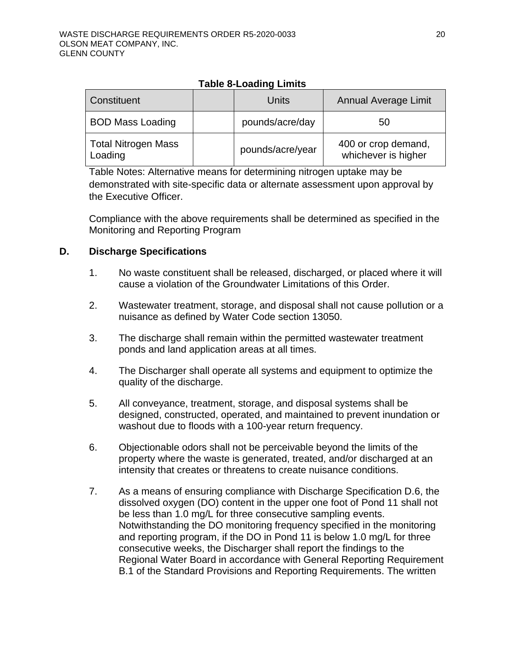<span id="page-25-1"></span>

| Constituent                           | Units            | <b>Annual Average Limit</b>                |
|---------------------------------------|------------------|--------------------------------------------|
| <b>BOD Mass Loading</b>               | pounds/acre/day  | 50                                         |
| <b>Total Nitrogen Mass</b><br>Loading | pounds/acre/year | 400 or crop demand,<br>whichever is higher |

### **Table 8-Loading Limits**

Table Notes: Alternative means for determining nitrogen uptake may be demonstrated with site-specific data or alternate assessment upon approval by the Executive Officer.

Compliance with the above requirements shall be determined as specified in the Monitoring and Reporting Program

### <span id="page-25-0"></span>**D. Discharge Specifications**

- 1. No waste constituent shall be released, discharged, or placed where it will cause a violation of the Groundwater Limitations of this Order.
- 2. Wastewater treatment, storage, and disposal shall not cause pollution or a nuisance as defined by Water Code section 13050.
- 3. The discharge shall remain within the permitted wastewater treatment ponds and land application areas at all times.
- 4. The Discharger shall operate all systems and equipment to optimize the quality of the discharge.
- 5. All conveyance, treatment, storage, and disposal systems shall be designed, constructed, operated, and maintained to prevent inundation or washout due to floods with a 100-year return frequency.
- 6. Objectionable odors shall not be perceivable beyond the limits of the property where the waste is generated, treated, and/or discharged at an intensity that creates or threatens to create nuisance conditions.
- 7. As a means of ensuring compliance with Discharge Specification D.6, the dissolved oxygen (DO) content in the upper one foot of Pond 11 shall not be less than 1.0 mg/L for three consecutive sampling events. Notwithstanding the DO monitoring frequency specified in the monitoring and reporting program, if the DO in Pond 11 is below 1.0 mg/L for three consecutive weeks, the Discharger shall report the findings to the Regional Water Board in accordance with General Reporting Requirement B.1 of the Standard Provisions and Reporting Requirements. The written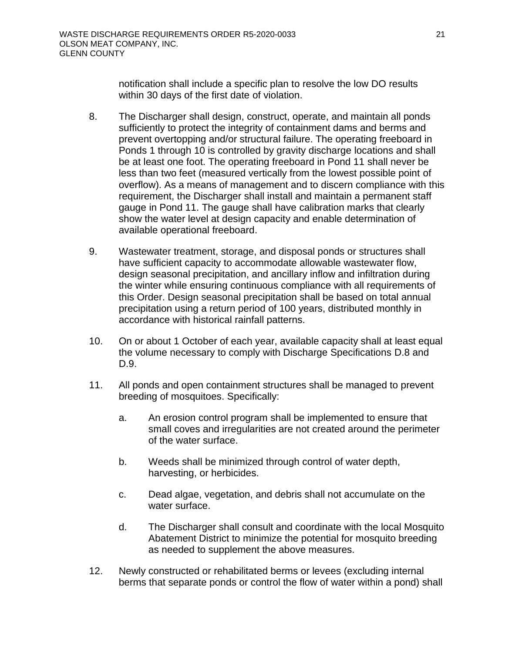notification shall include a specific plan to resolve the low DO results within 30 days of the first date of violation.

- 8. The Discharger shall design, construct, operate, and maintain all ponds sufficiently to protect the integrity of containment dams and berms and prevent overtopping and/or structural failure. The operating freeboard in Ponds 1 through 10 is controlled by gravity discharge locations and shall be at least one foot. The operating freeboard in Pond 11 shall never be less than two feet (measured vertically from the lowest possible point of overflow). As a means of management and to discern compliance with this requirement, the Discharger shall install and maintain a permanent staff gauge in Pond 11. The gauge shall have calibration marks that clearly show the water level at design capacity and enable determination of available operational freeboard.
- 9. Wastewater treatment, storage, and disposal ponds or structures shall have sufficient capacity to accommodate allowable wastewater flow, design seasonal precipitation, and ancillary inflow and infiltration during the winter while ensuring continuous compliance with all requirements of this Order. Design seasonal precipitation shall be based on total annual precipitation using a return period of 100 years, distributed monthly in accordance with historical rainfall patterns.
- 10. On or about 1 October of each year, available capacity shall at least equal the volume necessary to comply with Discharge Specifications D.8 and D.9.
- 11. All ponds and open containment structures shall be managed to prevent breeding of mosquitoes. Specifically:
	- a. An erosion control program shall be implemented to ensure that small coves and irregularities are not created around the perimeter of the water surface.
	- b. Weeds shall be minimized through control of water depth, harvesting, or herbicides.
	- c. Dead algae, vegetation, and debris shall not accumulate on the water surface.
	- d. The Discharger shall consult and coordinate with the local Mosquito Abatement District to minimize the potential for mosquito breeding as needed to supplement the above measures.
- 12. Newly constructed or rehabilitated berms or levees (excluding internal berms that separate ponds or control the flow of water within a pond) shall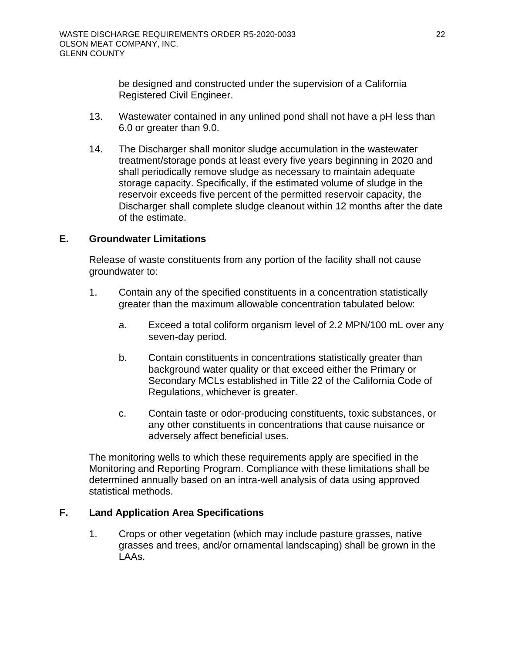be designed and constructed under the supervision of a California Registered Civil Engineer.

- 13. Wastewater contained in any unlined pond shall not have a pH less than 6.0 or greater than 9.0.
- 14. The Discharger shall monitor sludge accumulation in the wastewater treatment/storage ponds at least every five years beginning in 2020 and shall periodically remove sludge as necessary to maintain adequate storage capacity. Specifically, if the estimated volume of sludge in the reservoir exceeds five percent of the permitted reservoir capacity, the Discharger shall complete sludge cleanout within 12 months after the date of the estimate.

### <span id="page-27-0"></span>**E. Groundwater Limitations**

Release of waste constituents from any portion of the facility shall not cause groundwater to:

- 1. Contain any of the specified constituents in a concentration statistically greater than the maximum allowable concentration tabulated below:
	- a. Exceed a total coliform organism level of 2.2 MPN/100 mL over any seven-day period.
	- b. Contain constituents in concentrations statistically greater than background water quality or that exceed either the Primary or Secondary MCLs established in Title 22 of the California Code of Regulations, whichever is greater.
	- c. Contain taste or odor-producing constituents, toxic substances, or any other constituents in concentrations that cause nuisance or adversely affect beneficial uses.

The monitoring wells to which these requirements apply are specified in the Monitoring and Reporting Program. Compliance with these limitations shall be determined annually based on an intra-well analysis of data using approved statistical methods.

### <span id="page-27-1"></span>**F. Land Application Area Specifications**

1. Crops or other vegetation (which may include pasture grasses, native grasses and trees, and/or ornamental landscaping) shall be grown in the LAAs.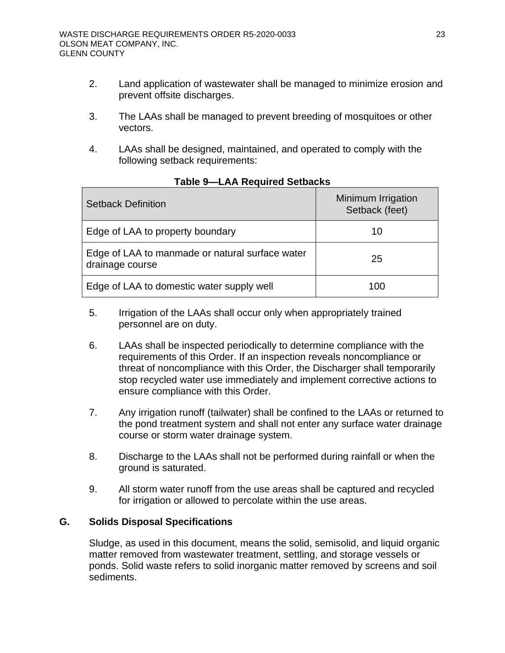- 2. Land application of wastewater shall be managed to minimize erosion and prevent offsite discharges.
- 3. The LAAs shall be managed to prevent breeding of mosquitoes or other vectors.
- 4. LAAs shall be designed, maintained, and operated to comply with the following setback requirements:

<span id="page-28-1"></span>

| <b>Setback Definition</b>                                          | Minimum Irrigation<br>Setback (feet) |
|--------------------------------------------------------------------|--------------------------------------|
| Edge of LAA to property boundary                                   | 10                                   |
| Edge of LAA to manmade or natural surface water<br>drainage course | 25                                   |
| Edge of LAA to domestic water supply well                          | 100                                  |

### **Table 9—LAA Required Setbacks**

- 5. Irrigation of the LAAs shall occur only when appropriately trained personnel are on duty.
- 6. LAAs shall be inspected periodically to determine compliance with the requirements of this Order. If an inspection reveals noncompliance or threat of noncompliance with this Order, the Discharger shall temporarily stop recycled water use immediately and implement corrective actions to ensure compliance with this Order.
- 7. Any irrigation runoff (tailwater) shall be confined to the LAAs or returned to the pond treatment system and shall not enter any surface water drainage course or storm water drainage system.
- 8. Discharge to the LAAs shall not be performed during rainfall or when the ground is saturated.
- 9. All storm water runoff from the use areas shall be captured and recycled for irrigation or allowed to percolate within the use areas.

### <span id="page-28-0"></span>**G. Solids Disposal Specifications**

Sludge, as used in this document, means the solid, semisolid, and liquid organic matter removed from wastewater treatment, settling, and storage vessels or ponds. Solid waste refers to solid inorganic matter removed by screens and soil sediments.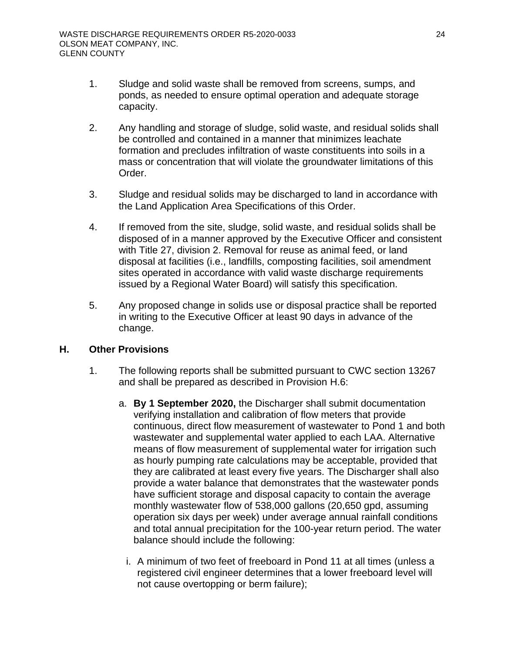- 1. Sludge and solid waste shall be removed from screens, sumps, and ponds, as needed to ensure optimal operation and adequate storage capacity.
- 2. Any handling and storage of sludge, solid waste, and residual solids shall be controlled and contained in a manner that minimizes leachate formation and precludes infiltration of waste constituents into soils in a mass or concentration that will violate the groundwater limitations of this Order.
- 3. Sludge and residual solids may be discharged to land in accordance with the Land Application Area Specifications of this Order.
- 4. If removed from the site, sludge, solid waste, and residual solids shall be disposed of in a manner approved by the Executive Officer and consistent with Title 27, division 2. Removal for reuse as animal feed, or land disposal at facilities (i.e., landfills, composting facilities, soil amendment sites operated in accordance with valid waste discharge requirements issued by a Regional Water Board) will satisfy this specification.
- 5. Any proposed change in solids use or disposal practice shall be reported in writing to the Executive Officer at least 90 days in advance of the change.

### <span id="page-29-0"></span>**H. Other Provisions**

- 1. The following reports shall be submitted pursuant to CWC section 13267 and shall be prepared as described in Provision H.6:
	- a. **By 1 September 2020,** the Discharger shall submit documentation verifying installation and calibration of flow meters that provide continuous, direct flow measurement of wastewater to Pond 1 and both wastewater and supplemental water applied to each LAA. Alternative means of flow measurement of supplemental water for irrigation such as hourly pumping rate calculations may be acceptable, provided that they are calibrated at least every five years. The Discharger shall also provide a water balance that demonstrates that the wastewater ponds have sufficient storage and disposal capacity to contain the average monthly wastewater flow of 538,000 gallons (20,650 gpd, assuming operation six days per week) under average annual rainfall conditions and total annual precipitation for the 100-year return period. The water balance should include the following:
		- i. A minimum of two feet of freeboard in Pond 11 at all times (unless a registered civil engineer determines that a lower freeboard level will not cause overtopping or berm failure);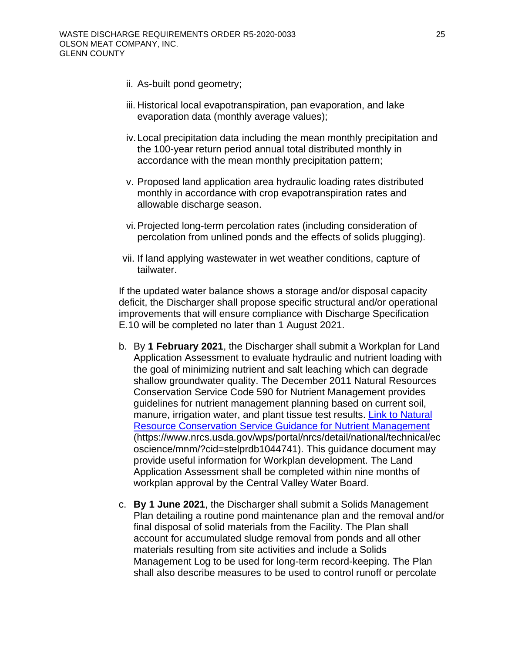- ii. As-built pond geometry;
- iii. Historical local evapotranspiration, pan evaporation, and lake evaporation data (monthly average values);
- iv. Local precipitation data including the mean monthly precipitation and the 100-year return period annual total distributed monthly in accordance with the mean monthly precipitation pattern;
- v. Proposed land application area hydraulic loading rates distributed monthly in accordance with crop evapotranspiration rates and allowable discharge season.
- vi. Projected long-term percolation rates (including consideration of percolation from unlined ponds and the effects of solids plugging).
- vii. If land applying wastewater in wet weather conditions, capture of tailwater.

If the updated water balance shows a storage and/or disposal capacity deficit, the Discharger shall propose specific structural and/or operational improvements that will ensure compliance with Discharge Specification E.10 will be completed no later than 1 August 2021.

- b. By **1 February 2021**, the Discharger shall submit a Workplan for Land Application Assessment to evaluate hydraulic and nutrient loading with the goal of minimizing nutrient and salt leaching which can degrade shallow groundwater quality. The December 2011 Natural Resources Conservation Service Code 590 for Nutrient Management provides guidelines for nutrient management planning based on current soil, manure, irrigation water, and plant tissue test results. [Link to Natural](https://www.nrcs.usda.gov/wps/portal/nrcs/detail/national/technical/ecoscience/mnm/?cid=stelprdb1044741)  [Resource Conservation Service Guidance for Nutrient Management](https://www.nrcs.usda.gov/wps/portal/nrcs/detail/national/technical/ecoscience/mnm/?cid=stelprdb1044741) (https://www.nrcs.usda.gov/wps/portal/nrcs/detail/national/technical/ec oscience/mnm/?cid=stelprdb1044741). This guidance document may provide useful information for Workplan development. The Land Application Assessment shall be completed within nine months of workplan approval by the Central Valley Water Board.
- c. **By 1 June 2021**, the Discharger shall submit a Solids Management Plan detailing a routine pond maintenance plan and the removal and/or final disposal of solid materials from the Facility. The Plan shall account for accumulated sludge removal from ponds and all other materials resulting from site activities and include a Solids Management Log to be used for long-term record-keeping. The Plan shall also describe measures to be used to control runoff or percolate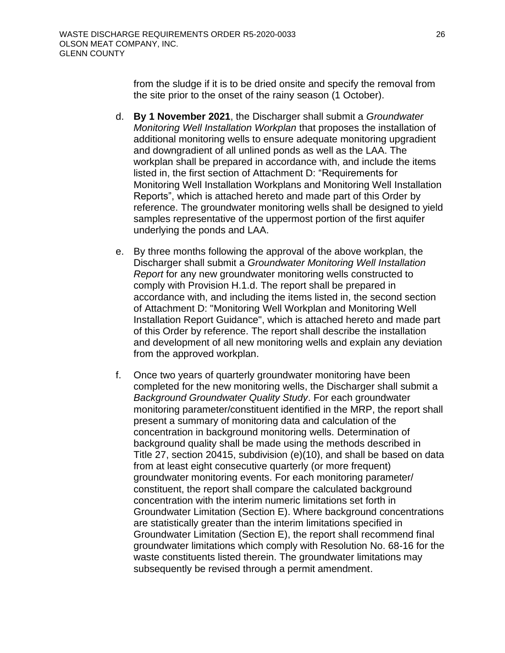from the sludge if it is to be dried onsite and specify the removal from the site prior to the onset of the rainy season (1 October).

- d. **By 1 November 2021**, the Discharger shall submit a *Groundwater Monitoring Well Installation Workplan* that proposes the installation of additional monitoring wells to ensure adequate monitoring upgradient and downgradient of all unlined ponds as well as the LAA. The workplan shall be prepared in accordance with, and include the items listed in, the first section of Attachment D: "Requirements for Monitoring Well Installation Workplans and Monitoring Well Installation Reports", which is attached hereto and made part of this Order by reference. The groundwater monitoring wells shall be designed to yield samples representative of the uppermost portion of the first aquifer underlying the ponds and LAA.
- e. By three months following the approval of the above workplan, the Discharger shall submit a *Groundwater Monitoring Well Installation Report* for any new groundwater monitoring wells constructed to comply with Provision H.1.d. The report shall be prepared in accordance with, and including the items listed in, the second section of Attachment D: "Monitoring Well Workplan and Monitoring Well Installation Report Guidance", which is attached hereto and made part of this Order by reference. The report shall describe the installation and development of all new monitoring wells and explain any deviation from the approved workplan.
- f. Once two years of quarterly groundwater monitoring have been completed for the new monitoring wells, the Discharger shall submit a *Background Groundwater Quality Study*. For each groundwater monitoring parameter/constituent identified in the MRP, the report shall present a summary of monitoring data and calculation of the concentration in background monitoring wells. Determination of background quality shall be made using the methods described in Title 27, section 20415, subdivision (e)(10), and shall be based on data from at least eight consecutive quarterly (or more frequent) groundwater monitoring events. For each monitoring parameter/ constituent, the report shall compare the calculated background concentration with the interim numeric limitations set forth in Groundwater Limitation (Section E). Where background concentrations are statistically greater than the interim limitations specified in Groundwater Limitation (Section E), the report shall recommend final groundwater limitations which comply with Resolution No. 68-16 for the waste constituents listed therein. The groundwater limitations may subsequently be revised through a permit amendment.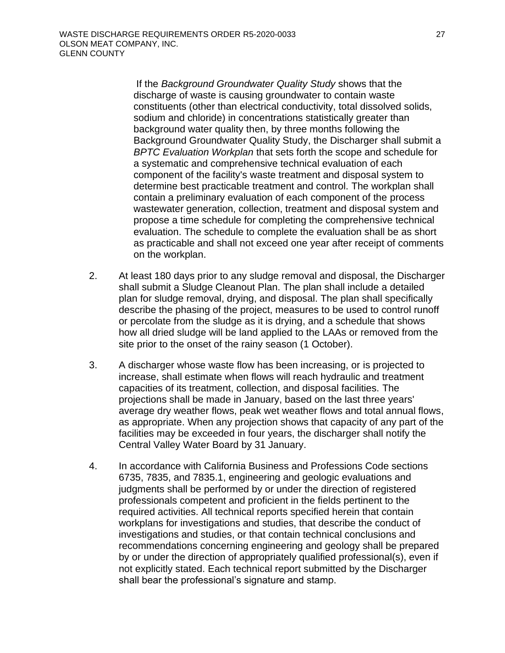If the *Background Groundwater Quality Study* shows that the discharge of waste is causing groundwater to contain waste constituents (other than electrical conductivity, total dissolved solids, sodium and chloride) in concentrations statistically greater than background water quality then, by three months following the Background Groundwater Quality Study, the Discharger shall submit a *BPTC Evaluation Workplan* that sets forth the scope and schedule for a systematic and comprehensive technical evaluation of each component of the facility's waste treatment and disposal system to determine best practicable treatment and control. The workplan shall contain a preliminary evaluation of each component of the process wastewater generation, collection, treatment and disposal system and propose a time schedule for completing the comprehensive technical evaluation. The schedule to complete the evaluation shall be as short as practicable and shall not exceed one year after receipt of comments on the workplan.

- 2. At least 180 days prior to any sludge removal and disposal, the Discharger shall submit a Sludge Cleanout Plan. The plan shall include a detailed plan for sludge removal, drying, and disposal. The plan shall specifically describe the phasing of the project, measures to be used to control runoff or percolate from the sludge as it is drying, and a schedule that shows how all dried sludge will be land applied to the LAAs or removed from the site prior to the onset of the rainy season (1 October).
- 3. A discharger whose waste flow has been increasing, or is projected to increase, shall estimate when flows will reach hydraulic and treatment capacities of its treatment, collection, and disposal facilities. The projections shall be made in January, based on the last three years' average dry weather flows, peak wet weather flows and total annual flows, as appropriate. When any projection shows that capacity of any part of the facilities may be exceeded in four years, the discharger shall notify the Central Valley Water Board by 31 January.
- 4. In accordance with California Business and Professions Code sections 6735, 7835, and 7835.1, engineering and geologic evaluations and judgments shall be performed by or under the direction of registered professionals competent and proficient in the fields pertinent to the required activities. All technical reports specified herein that contain workplans for investigations and studies, that describe the conduct of investigations and studies, or that contain technical conclusions and recommendations concerning engineering and geology shall be prepared by or under the direction of appropriately qualified professional(s), even if not explicitly stated. Each technical report submitted by the Discharger shall bear the professional's signature and stamp.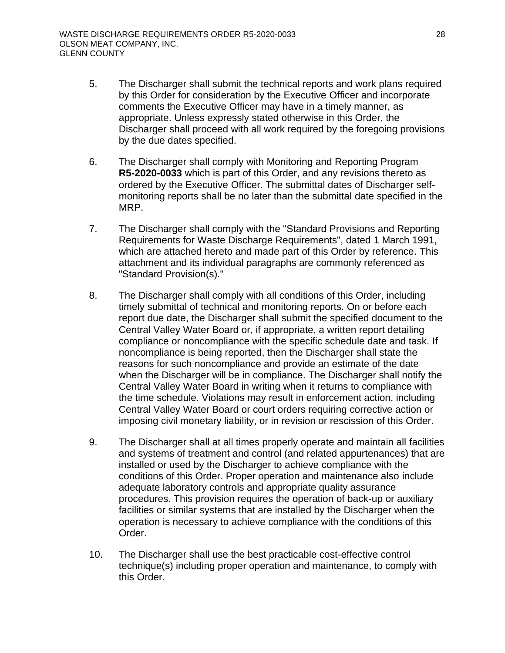- 5. The Discharger shall submit the technical reports and work plans required by this Order for consideration by the Executive Officer and incorporate comments the Executive Officer may have in a timely manner, as appropriate. Unless expressly stated otherwise in this Order, the Discharger shall proceed with all work required by the foregoing provisions by the due dates specified.
- 6. The Discharger shall comply with Monitoring and Reporting Program **R5-2020-0033** which is part of this Order, and any revisions thereto as ordered by the Executive Officer. The submittal dates of Discharger selfmonitoring reports shall be no later than the submittal date specified in the MRP.
- 7. The Discharger shall comply with the "Standard Provisions and Reporting Requirements for Waste Discharge Requirements", dated 1 March 1991, which are attached hereto and made part of this Order by reference. This attachment and its individual paragraphs are commonly referenced as "Standard Provision(s)."
- 8. The Discharger shall comply with all conditions of this Order, including timely submittal of technical and monitoring reports. On or before each report due date, the Discharger shall submit the specified document to the Central Valley Water Board or, if appropriate, a written report detailing compliance or noncompliance with the specific schedule date and task. If noncompliance is being reported, then the Discharger shall state the reasons for such noncompliance and provide an estimate of the date when the Discharger will be in compliance. The Discharger shall notify the Central Valley Water Board in writing when it returns to compliance with the time schedule. Violations may result in enforcement action, including Central Valley Water Board or court orders requiring corrective action or imposing civil monetary liability, or in revision or rescission of this Order.
- 9. The Discharger shall at all times properly operate and maintain all facilities and systems of treatment and control (and related appurtenances) that are installed or used by the Discharger to achieve compliance with the conditions of this Order. Proper operation and maintenance also include adequate laboratory controls and appropriate quality assurance procedures. This provision requires the operation of back-up or auxiliary facilities or similar systems that are installed by the Discharger when the operation is necessary to achieve compliance with the conditions of this Order.
- 10. The Discharger shall use the best practicable cost-effective control technique(s) including proper operation and maintenance, to comply with this Order.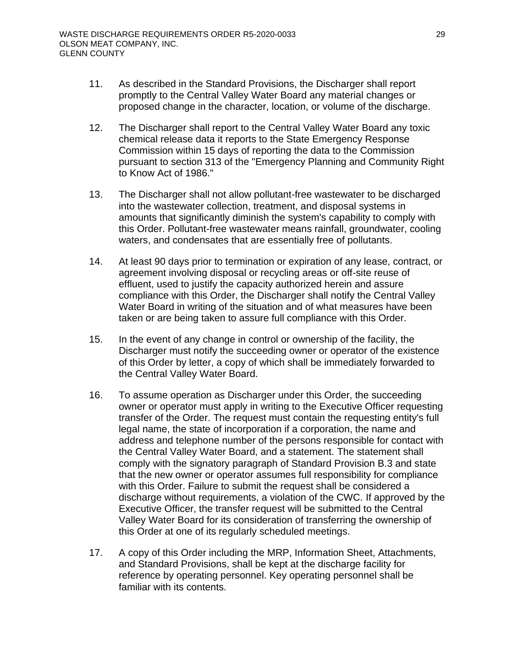- 11. As described in the Standard Provisions, the Discharger shall report promptly to the Central Valley Water Board any material changes or proposed change in the character, location, or volume of the discharge.
- 12. The Discharger shall report to the Central Valley Water Board any toxic chemical release data it reports to the State Emergency Response Commission within 15 days of reporting the data to the Commission pursuant to section 313 of the "Emergency Planning and Community Right to Know Act of 1986."
- 13. The Discharger shall not allow pollutant-free wastewater to be discharged into the wastewater collection, treatment, and disposal systems in amounts that significantly diminish the system's capability to comply with this Order. Pollutant-free wastewater means rainfall, groundwater, cooling waters, and condensates that are essentially free of pollutants.
- 14. At least 90 days prior to termination or expiration of any lease, contract, or agreement involving disposal or recycling areas or off-site reuse of effluent, used to justify the capacity authorized herein and assure compliance with this Order, the Discharger shall notify the Central Valley Water Board in writing of the situation and of what measures have been taken or are being taken to assure full compliance with this Order.
- 15. In the event of any change in control or ownership of the facility, the Discharger must notify the succeeding owner or operator of the existence of this Order by letter, a copy of which shall be immediately forwarded to the Central Valley Water Board.
- 16. To assume operation as Discharger under this Order, the succeeding owner or operator must apply in writing to the Executive Officer requesting transfer of the Order. The request must contain the requesting entity's full legal name, the state of incorporation if a corporation, the name and address and telephone number of the persons responsible for contact with the Central Valley Water Board, and a statement. The statement shall comply with the signatory paragraph of Standard Provision B.3 and state that the new owner or operator assumes full responsibility for compliance with this Order. Failure to submit the request shall be considered a discharge without requirements, a violation of the CWC. If approved by the Executive Officer, the transfer request will be submitted to the Central Valley Water Board for its consideration of transferring the ownership of this Order at one of its regularly scheduled meetings.
- 17. A copy of this Order including the MRP, Information Sheet, Attachments, and Standard Provisions, shall be kept at the discharge facility for reference by operating personnel. Key operating personnel shall be familiar with its contents.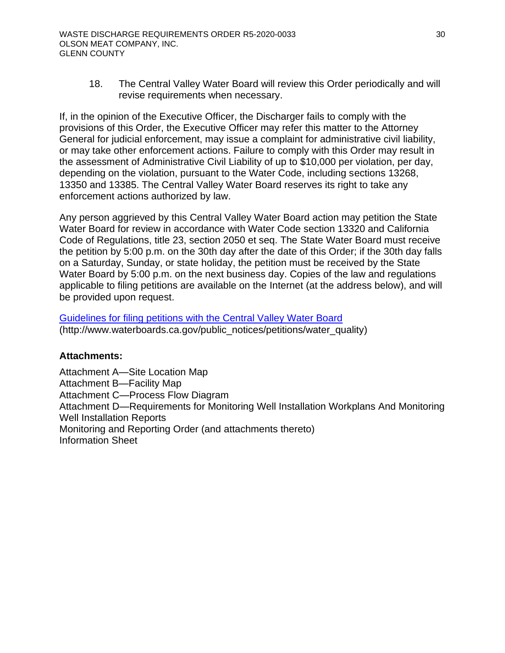18. The Central Valley Water Board will review this Order periodically and will revise requirements when necessary.

If, in the opinion of the Executive Officer, the Discharger fails to comply with the provisions of this Order, the Executive Officer may refer this matter to the Attorney General for judicial enforcement, may issue a complaint for administrative civil liability, or may take other enforcement actions. Failure to comply with this Order may result in the assessment of Administrative Civil Liability of up to \$10,000 per violation, per day, depending on the violation, pursuant to the Water Code, including sections 13268, 13350 and 13385. The Central Valley Water Board reserves its right to take any enforcement actions authorized by law.

Any person aggrieved by this Central Valley Water Board action may petition the State Water Board for review in accordance with Water Code section 13320 and California Code of Regulations, title 23, section 2050 et seq. The State Water Board must receive the petition by 5:00 p.m. on the 30th day after the date of this Order; if the 30th day falls on a Saturday, Sunday, or state holiday, the petition must be received by the State Water Board by 5:00 p.m. on the next business day. Copies of the law and regulations applicable to filing petitions are available on the Internet (at the address below), and will be provided upon request.

[Guidelines for filing petitions with the Central Valley Water Board](http://www.waterboards.ca.gov/public_notices/petitions/water_quality) (http://www.waterboards.ca.gov/public\_notices/petitions/water\_quality)

### **Attachments:**

Attachment A[—Site Location Map](#page-36-1) Attachment B[—Facility Map](#page-38-1) Attachment C[—Process Flow Diagram](#page-40-1) Attachment D[—Requirements for Monitoring Well Installation Workplans And Monitoring](#page-42-1)  [Well Installation Reports](#page-42-1) Monitoring and Reporting Order (and attachments thereto) Information Sheet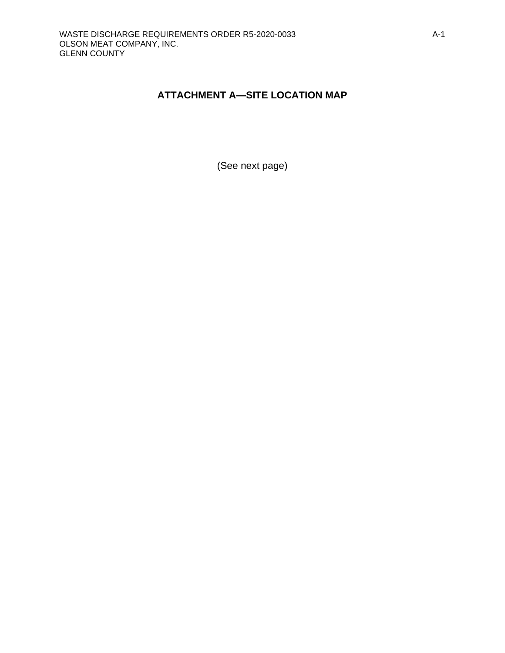# <span id="page-36-2"></span><span id="page-36-0"></span>**ATTACHMENT A—SITE LOCATION MAP**

<span id="page-36-1"></span>(See next page)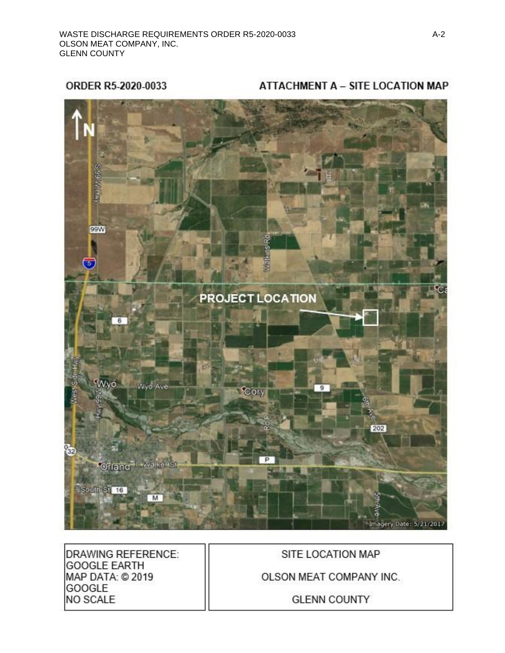ORDER R5-2020-0033

ATTACHMENT A - SITE LOCATION MAP



**DRAWING REFERENCE: GOOGLE EARTH** MAP DATA: @ 2019 GOOGLE NO SCALE

SITE LOCATION MAP

OLSON MEAT COMPANY INC.

**GLENN COUNTY**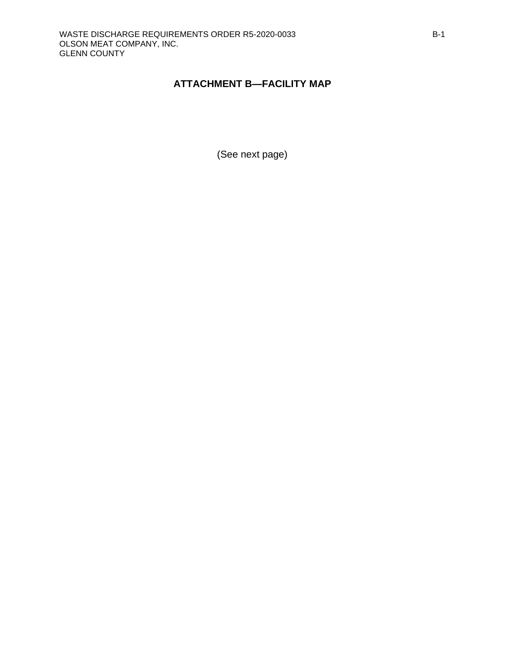# <span id="page-38-2"></span><span id="page-38-0"></span>**ATTACHMENT B—FACILITY MAP**

<span id="page-38-1"></span>(See next page)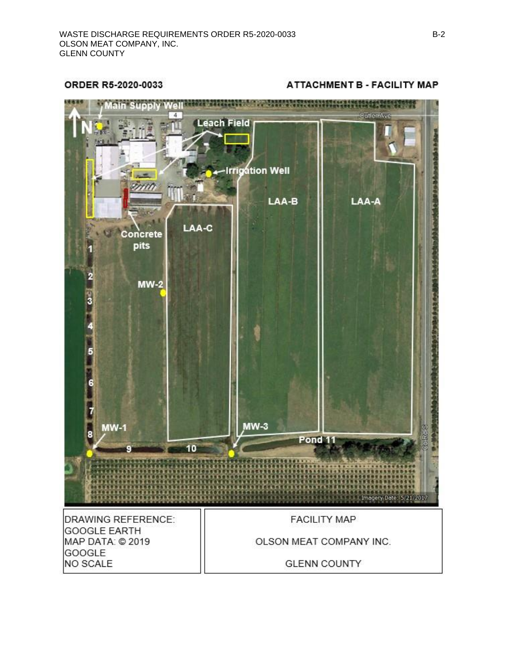ORDER R5-2020-0033

Sin Supply Wellston Missens The Manufacturer in the Missense of the  $\overline{4}$ *<u>EutterrAve</u>* **Leach Field Irrigation Well** LAA-B LAA-A LAA-C Concrete pits 1  $MW-2$  $\frac{1}{3}$ 5 6  $MW-3$ **MW-1** 8 Pond<sub>11</sub> 10 Imagery Date: 5/21/2017 **DRAWING REFERENCE: FACILITY MAP GOOGLE EARTH** MAP DATA: @ 2019 OLSON MEAT COMPANY INC. GOOGLE NO SCALE **GLENN COUNTY** 

#### **ATTACHMENT B - FACILITY MAP**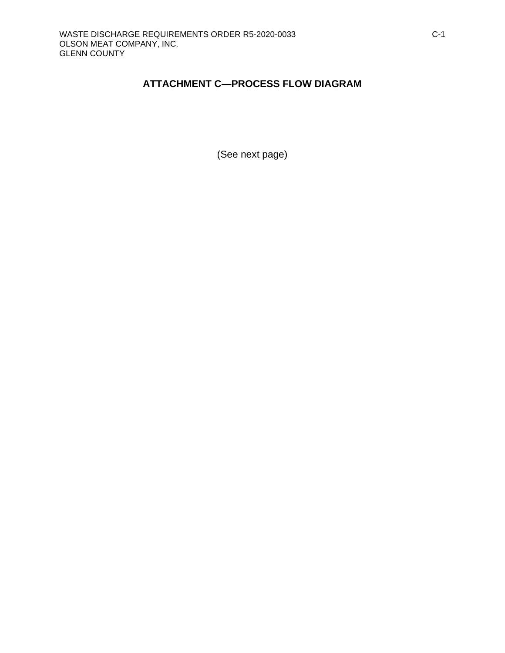# <span id="page-40-2"></span><span id="page-40-0"></span>**ATTACHMENT C—PROCESS FLOW DIAGRAM**

<span id="page-40-1"></span>(See next page)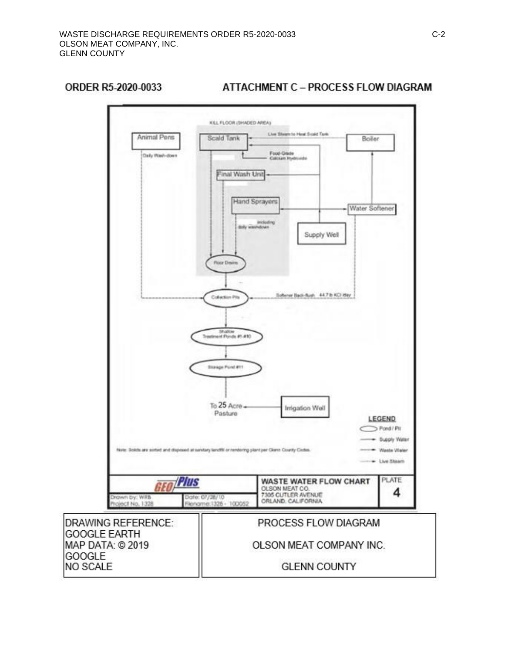### ORDER R5-2020-0033



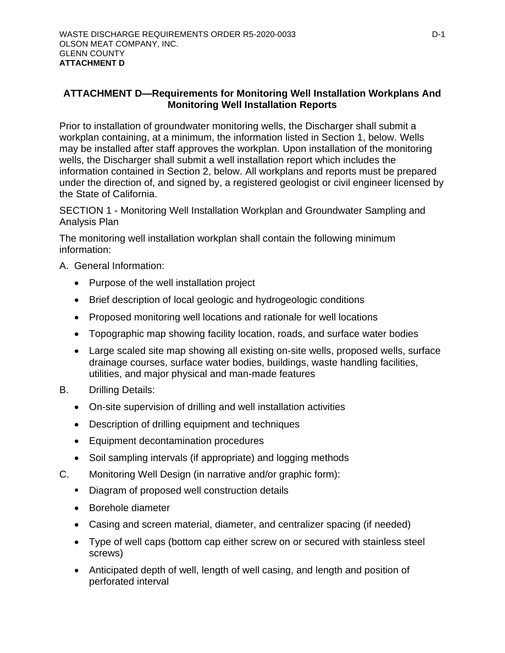# <span id="page-42-2"></span><span id="page-42-1"></span><span id="page-42-0"></span>**ATTACHMENT D—Requirements for Monitoring Well Installation Workplans And Monitoring Well Installation Reports**

Prior to installation of groundwater monitoring wells, the Discharger shall submit a workplan containing, at a minimum, the information listed in Section 1, below. Wells may be installed after staff approves the workplan. Upon installation of the monitoring wells, the Discharger shall submit a well installation report which includes the information contained in Section 2, below. All workplans and reports must be prepared under the direction of, and signed by, a registered geologist or civil engineer licensed by the State of California.

SECTION 1 - Monitoring Well Installation Workplan and Groundwater Sampling and Analysis Plan

The monitoring well installation workplan shall contain the following minimum information:

### A. General Information:

- Purpose of the well installation project
- Brief description of local geologic and hydrogeologic conditions
- Proposed monitoring well locations and rationale for well locations
- Topographic map showing facility location, roads, and surface water bodies
- Large scaled site map showing all existing on-site wells, proposed wells, surface drainage courses, surface water bodies, buildings, waste handling facilities, utilities, and major physical and man-made features
- B. Drilling Details:
	- On-site supervision of drilling and well installation activities
	- Description of drilling equipment and techniques
	- Equipment decontamination procedures
	- Soil sampling intervals (if appropriate) and logging methods
- C. Monitoring Well Design (in narrative and/or graphic form):
	- Diagram of proposed well construction details
	- Borehole diameter
	- Casing and screen material, diameter, and centralizer spacing (if needed)
	- Type of well caps (bottom cap either screw on or secured with stainless steel screws)
	- Anticipated depth of well, length of well casing, and length and position of perforated interval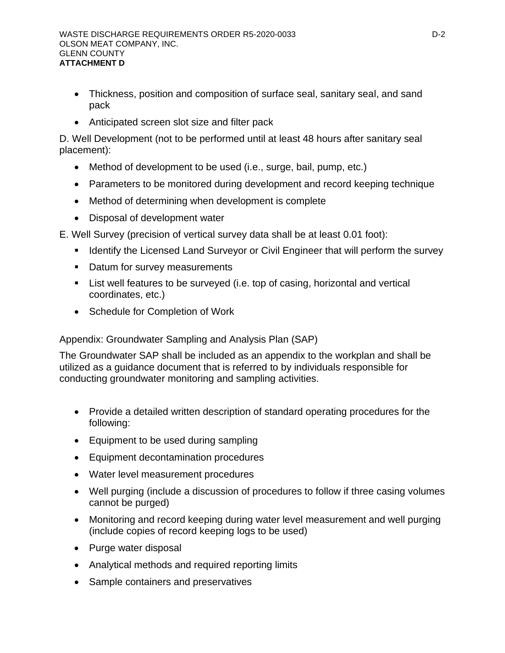- Thickness, position and composition of surface seal, sanitary seal, and sand pack
- Anticipated screen slot size and filter pack

D. Well Development (not to be performed until at least 48 hours after sanitary seal placement):

- Method of development to be used (i.e., surge, bail, pump, etc.)
- Parameters to be monitored during development and record keeping technique
- Method of determining when development is complete
- Disposal of development water

E. Well Survey (precision of vertical survey data shall be at least 0.01 foot):

- **EXED IDENT** Identify the Licensed Land Surveyor or Civil Engineer that will perform the survey
- Datum for survey measurements
- List well features to be surveyed (i.e. top of casing, horizontal and vertical coordinates, etc.)
- Schedule for Completion of Work

Appendix: Groundwater Sampling and Analysis Plan (SAP)

The Groundwater SAP shall be included as an appendix to the workplan and shall be utilized as a guidance document that is referred to by individuals responsible for conducting groundwater monitoring and sampling activities.

- Provide a detailed written description of standard operating procedures for the following:
- Equipment to be used during sampling
- Equipment decontamination procedures
- Water level measurement procedures
- Well purging (include a discussion of procedures to follow if three casing volumes cannot be purged)
- Monitoring and record keeping during water level measurement and well purging (include copies of record keeping logs to be used)
- Purge water disposal
- Analytical methods and required reporting limits
- Sample containers and preservatives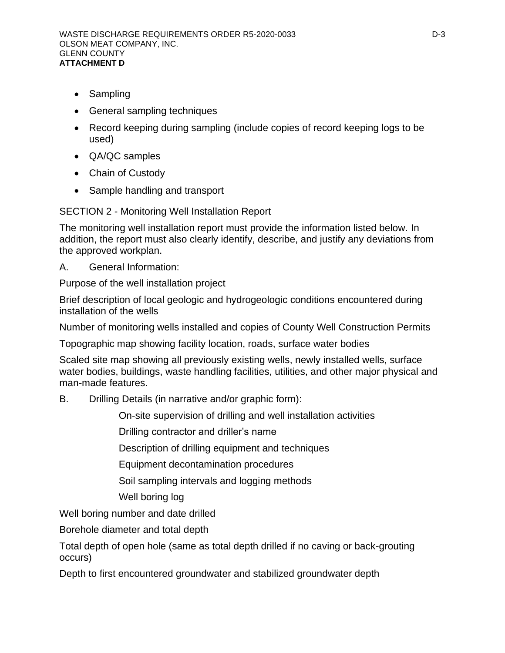- Sampling
- General sampling techniques
- Record keeping during sampling (include copies of record keeping logs to be used)
- QA/QC samples
- Chain of Custody
- Sample handling and transport

SECTION 2 - Monitoring Well Installation Report

The monitoring well installation report must provide the information listed below. In addition, the report must also clearly identify, describe, and justify any deviations from the approved workplan.

A. General Information:

Purpose of the well installation project

Brief description of local geologic and hydrogeologic conditions encountered during installation of the wells

Number of monitoring wells installed and copies of County Well Construction Permits

Topographic map showing facility location, roads, surface water bodies

Scaled site map showing all previously existing wells, newly installed wells, surface water bodies, buildings, waste handling facilities, utilities, and other major physical and man-made features.

B. Drilling Details (in narrative and/or graphic form):

On-site supervision of drilling and well installation activities

Drilling contractor and driller's name

Description of drilling equipment and techniques

Equipment decontamination procedures

Soil sampling intervals and logging methods

Well boring log

Well boring number and date drilled

Borehole diameter and total depth

Total depth of open hole (same as total depth drilled if no caving or back-grouting occurs)

Depth to first encountered groundwater and stabilized groundwater depth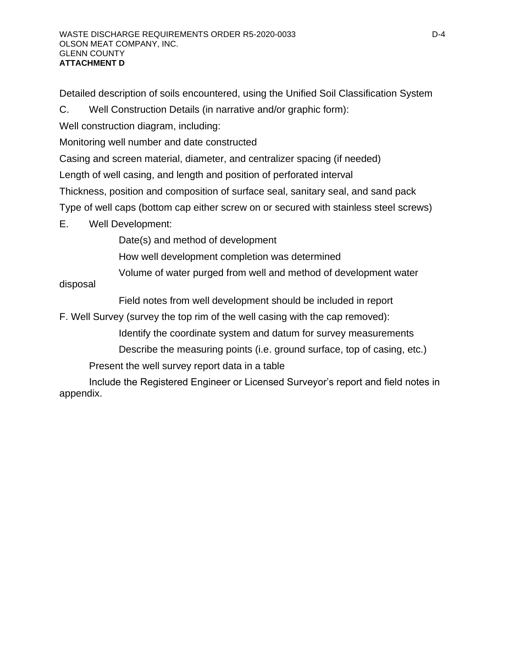Detailed description of soils encountered, using the Unified Soil Classification System

C. Well Construction Details (in narrative and/or graphic form):

Well construction diagram, including:

Monitoring well number and date constructed

Casing and screen material, diameter, and centralizer spacing (if needed)

Length of well casing, and length and position of perforated interval

Thickness, position and composition of surface seal, sanitary seal, and sand pack

Type of well caps (bottom cap either screw on or secured with stainless steel screws)

E. Well Development:

Date(s) and method of development

How well development completion was determined

Volume of water purged from well and method of development water

disposal

Field notes from well development should be included in report

F. Well Survey (survey the top rim of the well casing with the cap removed):

Identify the coordinate system and datum for survey measurements

Describe the measuring points (i.e. ground surface, top of casing, etc.)

Present the well survey report data in a table

Include the Registered Engineer or Licensed Surveyor's report and field notes in appendix.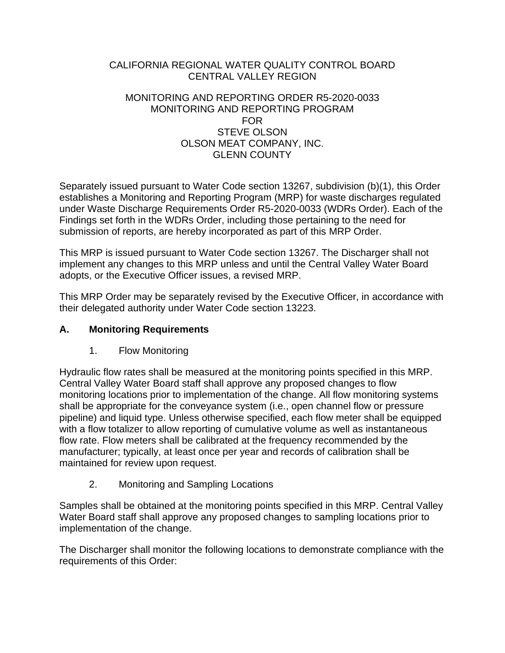### <span id="page-46-2"></span><span id="page-46-0"></span>CALIFORNIA REGIONAL WATER QUALITY CONTROL BOARD CENTRAL VALLEY REGION

### MONITORING AND REPORTING ORDER R5-2020-0033 MONITORING AND REPORTING PROGRAM FOR STEVE OLSON OLSON MEAT COMPANY, INC. GLENN COUNTY

Separately issued pursuant to Water Code section 13267, subdivision (b)(1), this Order establishes a Monitoring and Reporting Program (MRP) for waste discharges regulated under Waste Discharge Requirements Order R5-2020-0033 (WDRs Order). Each of the Findings set forth in the WDRs Order, including those pertaining to the need for submission of reports, are hereby incorporated as part of this MRP Order.

This MRP is issued pursuant to Water Code section 13267. The Discharger shall not implement any changes to this MRP unless and until the Central Valley Water Board adopts, or the Executive Officer issues, a revised MRP.

This MRP Order may be separately revised by the Executive Officer, in accordance with their delegated authority under Water Code section 13223.

# <span id="page-46-1"></span>**A. Monitoring Requirements**

1. Flow Monitoring

Hydraulic flow rates shall be measured at the monitoring points specified in this MRP. Central Valley Water Board staff shall approve any proposed changes to flow monitoring locations prior to implementation of the change. All flow monitoring systems shall be appropriate for the conveyance system (i.e., open channel flow or pressure pipeline) and liquid type. Unless otherwise specified, each flow meter shall be equipped with a flow totalizer to allow reporting of cumulative volume as well as instantaneous flow rate. Flow meters shall be calibrated at the frequency recommended by the manufacturer; typically, at least once per year and records of calibration shall be maintained for review upon request.

2. Monitoring and Sampling Locations

Samples shall be obtained at the monitoring points specified in this MRP. Central Valley Water Board staff shall approve any proposed changes to sampling locations prior to implementation of the change.

The Discharger shall monitor the following locations to demonstrate compliance with the requirements of this Order: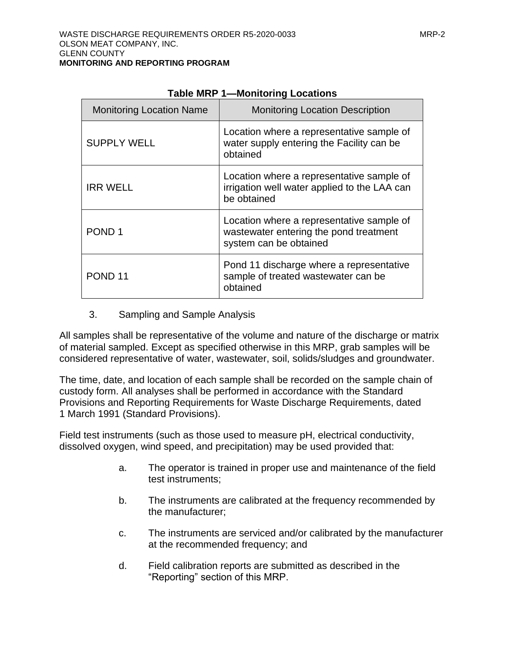<span id="page-47-0"></span>

| <b>Monitoring Location Name</b> | <b>Monitoring Location Description</b>                                                                        |
|---------------------------------|---------------------------------------------------------------------------------------------------------------|
| <b>SUPPLY WELL</b>              | Location where a representative sample of<br>water supply entering the Facility can be<br>obtained            |
| <b>IRR WELL</b>                 | Location where a representative sample of<br>irrigation well water applied to the LAA can<br>be obtained      |
| POND <sub>1</sub>               | Location where a representative sample of<br>wastewater entering the pond treatment<br>system can be obtained |
| POND <sub>11</sub>              | Pond 11 discharge where a representative<br>sample of treated wastewater can be<br>obtained                   |

#### **Table MRP 1—Monitoring Locations**

3. Sampling and Sample Analysis

All samples shall be representative of the volume and nature of the discharge or matrix of material sampled. Except as specified otherwise in this MRP, grab samples will be considered representative of water, wastewater, soil, solids/sludges and groundwater.

The time, date, and location of each sample shall be recorded on the sample chain of custody form. All analyses shall be performed in accordance with the Standard Provisions and Reporting Requirements for Waste Discharge Requirements, dated 1 March 1991 (Standard Provisions).

Field test instruments (such as those used to measure pH, electrical conductivity, dissolved oxygen, wind speed, and precipitation) may be used provided that:

- a. The operator is trained in proper use and maintenance of the field test instruments;
- b. The instruments are calibrated at the frequency recommended by the manufacturer;
- c. The instruments are serviced and/or calibrated by the manufacturer at the recommended frequency; and
- d. Field calibration reports are submitted as described in the "Reporting" section of this MRP.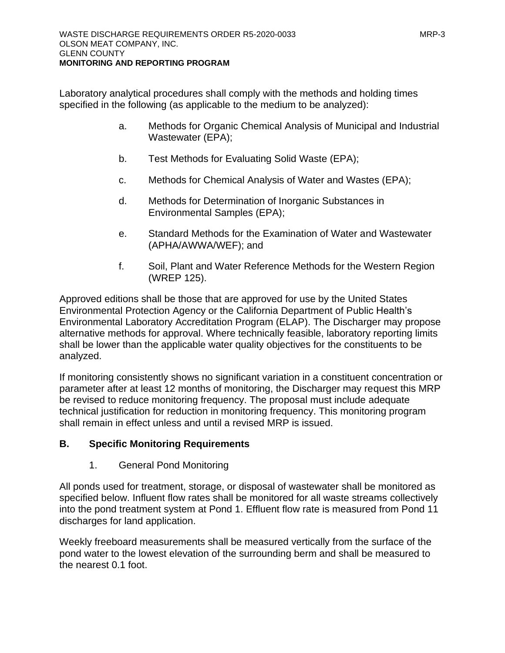Laboratory analytical procedures shall comply with the methods and holding times specified in the following (as applicable to the medium to be analyzed):

- a. Methods for Organic Chemical Analysis of Municipal and Industrial Wastewater (EPA);
- b. Test Methods for Evaluating Solid Waste (EPA);
- c. Methods for Chemical Analysis of Water and Wastes (EPA);
- d. Methods for Determination of Inorganic Substances in Environmental Samples (EPA);
- e. Standard Methods for the Examination of Water and Wastewater (APHA/AWWA/WEF); and
- f. Soil, Plant and Water Reference Methods for the Western Region (WREP 125).

Approved editions shall be those that are approved for use by the United States Environmental Protection Agency or the California Department of Public Health's Environmental Laboratory Accreditation Program (ELAP). The Discharger may propose alternative methods for approval. Where technically feasible, laboratory reporting limits shall be lower than the applicable water quality objectives for the constituents to be analyzed.

If monitoring consistently shows no significant variation in a constituent concentration or parameter after at least 12 months of monitoring, the Discharger may request this MRP be revised to reduce monitoring frequency. The proposal must include adequate technical justification for reduction in monitoring frequency. This monitoring program shall remain in effect unless and until a revised MRP is issued.

# <span id="page-48-0"></span>**B. Specific Monitoring Requirements**

1. General Pond Monitoring

All ponds used for treatment, storage, or disposal of wastewater shall be monitored as specified below. Influent flow rates shall be monitored for all waste streams collectively into the pond treatment system at Pond 1. Effluent flow rate is measured from Pond 11 discharges for land application.

Weekly freeboard measurements shall be measured vertically from the surface of the pond water to the lowest elevation of the surrounding berm and shall be measured to the nearest 0.1 foot.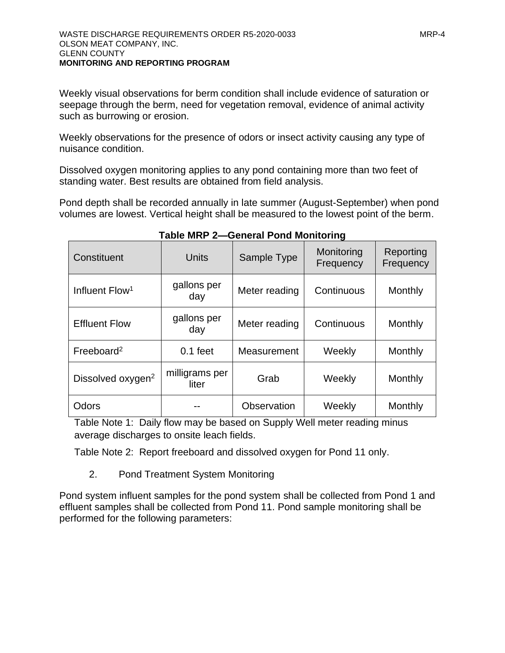Weekly visual observations for berm condition shall include evidence of saturation or seepage through the berm, need for vegetation removal, evidence of animal activity such as burrowing or erosion.

Weekly observations for the presence of odors or insect activity causing any type of nuisance condition.

Dissolved oxygen monitoring applies to any pond containing more than two feet of standing water. Best results are obtained from field analysis.

Pond depth shall be recorded annually in late summer (August-September) when pond volumes are lowest. Vertical height shall be measured to the lowest point of the berm.

<span id="page-49-1"></span>

| Constituent                   | Units                   | Sample Type   | Monitoring<br>Frequency | Reporting<br>Frequency |
|-------------------------------|-------------------------|---------------|-------------------------|------------------------|
| Influent Flow <sup>1</sup>    | gallons per<br>day      | Meter reading | Continuous              | Monthly                |
| <b>Effluent Flow</b>          | gallons per<br>day      | Meter reading | Continuous              | Monthly                |
| Freeboard <sup>2</sup>        | $0.1$ feet              | Measurement   | Weekly                  | Monthly                |
| Dissolved oxygen <sup>2</sup> | milligrams per<br>liter | Grab          | Weekly                  | Monthly                |
| Odors                         |                         | Observation   | Weekly                  | Monthly                |

**Table MRP 2—General Pond Monitoring** 

Table Note 1: Daily flow may be based on Supply Well meter reading minus average discharges to onsite leach fields.

Table Note 2: Report freeboard and dissolved oxygen for Pond 11 only.

2. Pond Treatment System Monitoring

<span id="page-49-0"></span>Pond system influent samples for the pond system shall be collected from Pond 1 and effluent samples shall be collected from Pond 11. Pond sample monitoring shall be performed for the following parameters: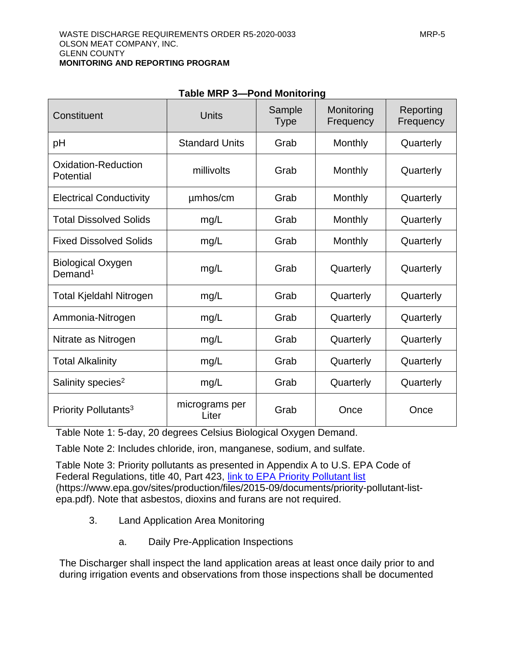<span id="page-50-1"></span>

| Constituent                                     | <b>Units</b>            | Sample<br><b>Type</b> | Monitoring<br>Frequency | Reporting<br>Frequency |
|-------------------------------------------------|-------------------------|-----------------------|-------------------------|------------------------|
| pH                                              | <b>Standard Units</b>   | Grab                  | Monthly                 | Quarterly              |
| <b>Oxidation-Reduction</b><br>Potential         | millivolts              | Grab                  | Monthly                 | Quarterly              |
| <b>Electrical Conductivity</b>                  | umhos/cm                | Grab                  | Monthly                 | Quarterly              |
| <b>Total Dissolved Solids</b>                   | mg/L                    | Grab                  | Monthly                 | Quarterly              |
| <b>Fixed Dissolved Solids</b>                   | mg/L                    | Grab                  | Monthly                 | Quarterly              |
| <b>Biological Oxygen</b><br>Demand <sup>1</sup> | mg/L                    | Grab                  | Quarterly               | Quarterly              |
| <b>Total Kjeldahl Nitrogen</b>                  | mg/L                    | Grab                  | Quarterly               | Quarterly              |
| Ammonia-Nitrogen                                | mg/L                    | Grab                  | Quarterly               | Quarterly              |
| Nitrate as Nitrogen                             | mg/L                    | Grab                  | Quarterly               | Quarterly              |
| <b>Total Alkalinity</b>                         | mg/L                    | Grab                  | Quarterly               | Quarterly              |
| Salinity species <sup>2</sup>                   | mg/L                    | Grab                  | Quarterly               | Quarterly              |
| Priority Pollutants <sup>3</sup>                | micrograms per<br>Liter | Grab                  | Once                    | Once                   |

### **Table MRP 3—Pond Monitoring**

Table Note 1: 5-day, 20 degrees Celsius Biological Oxygen Demand.

Table Note 2: Includes chloride, iron, manganese, sodium, and sulfate.

Table Note 3: Priority pollutants as presented in Appendix A to U.S. EPA Code of Federal Regulations, title 40, Part 423, [link to EPA Priority Pollutant list](file://///ca.epa.local/RB/RB5/R5RSection/N%20Central%20Valley/aCross%20Section/Clerical/WDR%20-%20NON-15%20UNIT/MGaido/Drafts%202019/NSR/link%20to%20EPA%20Priority%20Pollutant%20list) (https://www.epa.gov/sites/production/files/2015-09/documents/priority-pollutant-listepa.pdf). Note that asbestos, dioxins and furans are not required.

- <span id="page-50-0"></span>3. Land Application Area Monitoring
	- a. Daily Pre-Application Inspections

The Discharger shall inspect the land application areas at least once daily prior to and during irrigation events and observations from those inspections shall be documented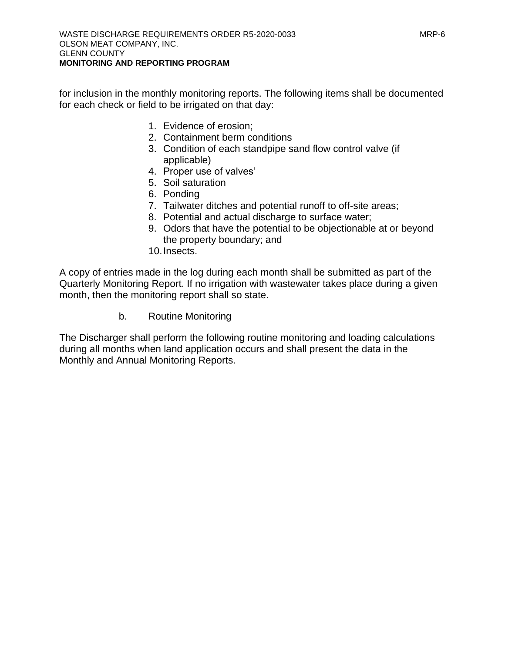for inclusion in the monthly monitoring reports. The following items shall be documented for each check or field to be irrigated on that day:

- 1. Evidence of erosion;
- 2. Containment berm conditions
- 3. Condition of each standpipe sand flow control valve (if applicable)
- 4. Proper use of valves'
- 5. Soil saturation
- 6. Ponding
- 7. Tailwater ditches and potential runoff to off-site areas;
- 8. Potential and actual discharge to surface water;
- 9. Odors that have the potential to be objectionable at or beyond the property boundary; and
- 10.Insects.

A copy of entries made in the log during each month shall be submitted as part of the Quarterly Monitoring Report. If no irrigation with wastewater takes place during a given month, then the monitoring report shall so state.

b. Routine Monitoring

The Discharger shall perform the following routine monitoring and loading calculations during all months when land application occurs and shall present the data in the Monthly and Annual Monitoring Reports.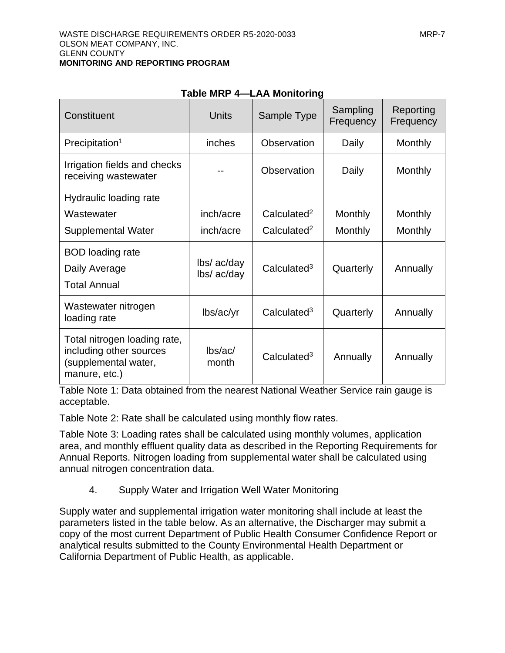<span id="page-52-1"></span>

| Constituent                                                                                      | <b>Units</b>               | Sample Type             | Sampling<br>Frequency | Reporting<br>Frequency |
|--------------------------------------------------------------------------------------------------|----------------------------|-------------------------|-----------------------|------------------------|
| Precipitation <sup>1</sup>                                                                       | inches                     | Observation             | Daily                 | Monthly                |
| Irrigation fields and checks<br>receiving wastewater                                             |                            | Observation             | Daily                 | Monthly                |
| Hydraulic loading rate                                                                           |                            |                         |                       |                        |
| Wastewater                                                                                       | inch/acre                  | Calculated <sup>2</sup> | Monthly               | Monthly                |
| <b>Supplemental Water</b>                                                                        | inch/acre                  | Calculated <sup>2</sup> | Monthly               | <b>Monthly</b>         |
| <b>BOD</b> loading rate<br>Daily Average<br><b>Total Annual</b>                                  | lbs/ ac/day<br>lbs/ ac/day | Calculated <sup>3</sup> | Quarterly             | Annually               |
| Wastewater nitrogen<br>loading rate                                                              | lbs/ac/yr                  | Calculated <sup>3</sup> | Quarterly             | Annually               |
| Total nitrogen loading rate,<br>including other sources<br>(supplemental water,<br>manure, etc.) | lbs/ac/<br>month           | Calculated <sup>3</sup> | Annually              | Annually               |

### Table MRP 4-I AA Monitoring

Table Note 1: Data obtained from the nearest National Weather Service rain gauge is acceptable.

Table Note 2: Rate shall be calculated using monthly flow rates.

Table Note 3: Loading rates shall be calculated using monthly volumes, application area, and monthly effluent quality data as described in the Reporting Requirements for Annual Reports. Nitrogen loading from supplemental water shall be calculated using annual nitrogen concentration data.

4. Supply Water and Irrigation Well Water Monitoring

<span id="page-52-0"></span>Supply water and supplemental irrigation water monitoring shall include at least the parameters listed in the table below. As an alternative, the Discharger may submit a copy of the most current Department of Public Health Consumer Confidence Report or analytical results submitted to the County Environmental Health Department or California Department of Public Health, as applicable.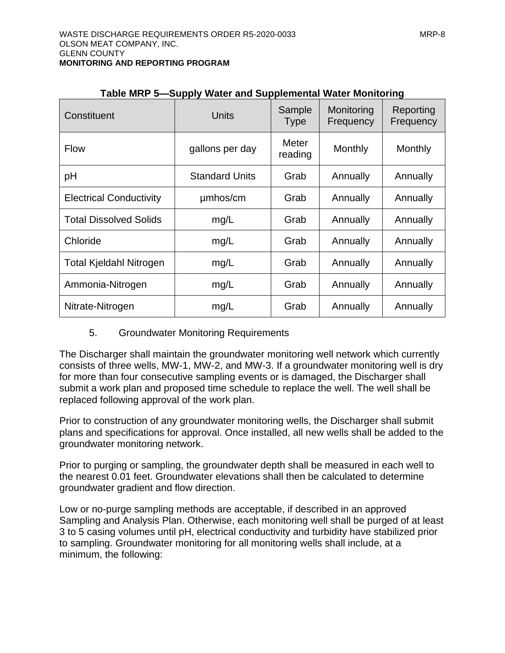<span id="page-53-0"></span>

| Constituent                    | Units                 | Sample<br><b>Type</b> | Monitoring<br>Frequency | Reporting<br>Frequency |
|--------------------------------|-----------------------|-----------------------|-------------------------|------------------------|
| <b>Flow</b>                    | gallons per day       | Meter<br>reading      | Monthly                 | Monthly                |
| pH                             | <b>Standard Units</b> | Grab                  | Annually                | Annually               |
| <b>Electrical Conductivity</b> | umhos/cm              | Grab                  | Annually                | Annually               |
| <b>Total Dissolved Solids</b>  | mg/L                  | Grab                  | Annually                | Annually               |
| Chloride                       | mg/L                  | Grab                  | Annually                | Annually               |
| <b>Total Kjeldahl Nitrogen</b> | mg/L                  | Grab                  | Annually                | Annually               |
| Ammonia-Nitrogen               | mg/L                  | Grab                  | Annually                | Annually               |
| Nitrate-Nitrogen               | mg/L                  | Grab                  | Annually                | Annually               |

|  | Table MRP 5-Supply Water and Supplemental Water Monitoring |
|--|------------------------------------------------------------|
|--|------------------------------------------------------------|

### 5. Groundwater Monitoring Requirements

The Discharger shall maintain the groundwater monitoring well network which currently consists of three wells, MW-1, MW-2, and MW-3. If a groundwater monitoring well is dry for more than four consecutive sampling events or is damaged, the Discharger shall submit a work plan and proposed time schedule to replace the well. The well shall be replaced following approval of the work plan.

Prior to construction of any groundwater monitoring wells, the Discharger shall submit plans and specifications for approval. Once installed, all new wells shall be added to the groundwater monitoring network.

Prior to purging or sampling, the groundwater depth shall be measured in each well to the nearest 0.01 feet. Groundwater elevations shall then be calculated to determine groundwater gradient and flow direction.

Low or no-purge sampling methods are acceptable, if described in an approved Sampling and Analysis Plan. Otherwise, each monitoring well shall be purged of at least 3 to 5 casing volumes until pH, electrical conductivity and turbidity have stabilized prior to sampling. Groundwater monitoring for all monitoring wells shall include, at a minimum, the following: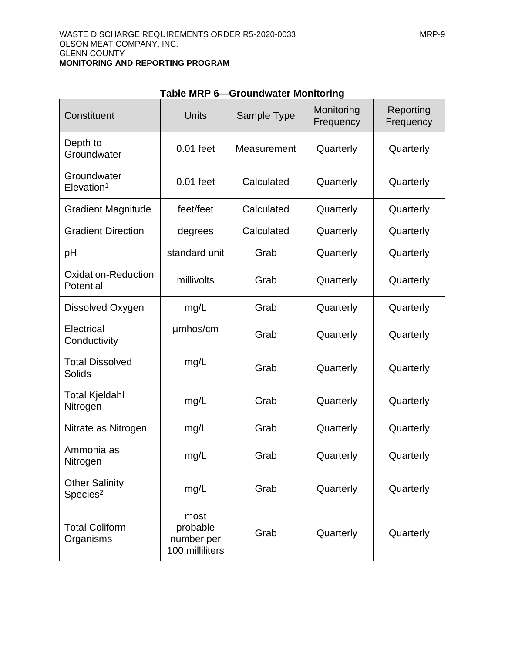<span id="page-54-0"></span>

| Constituent                                   | Units                                             | Sample Type | Monitoring<br>Frequency | Reporting<br>Frequency |
|-----------------------------------------------|---------------------------------------------------|-------------|-------------------------|------------------------|
| Depth to<br>Groundwater                       | $0.01$ feet                                       | Measurement | Quarterly               | Quarterly              |
| Groundwater<br>$E$ levation <sup>1</sup>      | $0.01$ feet                                       | Calculated  | Quarterly               | Quarterly              |
| <b>Gradient Magnitude</b>                     | feet/feet                                         | Calculated  | Quarterly               | Quarterly              |
| <b>Gradient Direction</b>                     | degrees                                           | Calculated  | Quarterly               | Quarterly              |
| pH                                            | standard unit                                     | Grab        | Quarterly               | Quarterly              |
| Oxidation-Reduction<br>Potential              | millivolts                                        | Grab        | Quarterly               | Quarterly              |
| Dissolved Oxygen                              | mg/L                                              | Grab        | Quarterly               | Quarterly              |
| Electrical<br>Conductivity                    | umhos/cm                                          | Grab        | Quarterly               | Quarterly              |
| <b>Total Dissolved</b><br><b>Solids</b>       | mg/L                                              | Grab        | Quarterly               | Quarterly              |
| <b>Total Kjeldahl</b><br>Nitrogen             | mg/L                                              | Grab        | Quarterly               | Quarterly              |
| Nitrate as Nitrogen                           | mg/L                                              | Grab        | Quarterly               | Quarterly              |
| Ammonia as<br>Nitrogen                        | mg/L                                              | Grab        | Quarterly               | Quarterly              |
| <b>Other Salinity</b><br>Species <sup>2</sup> | mg/L                                              | Grab        | Quarterly               | Quarterly              |
| <b>Total Coliform</b><br>Organisms            | most<br>probable<br>number per<br>100 milliliters | Grab        | Quarterly               | Quarterly              |

### **Table MRP 6—Groundwater Monitoring**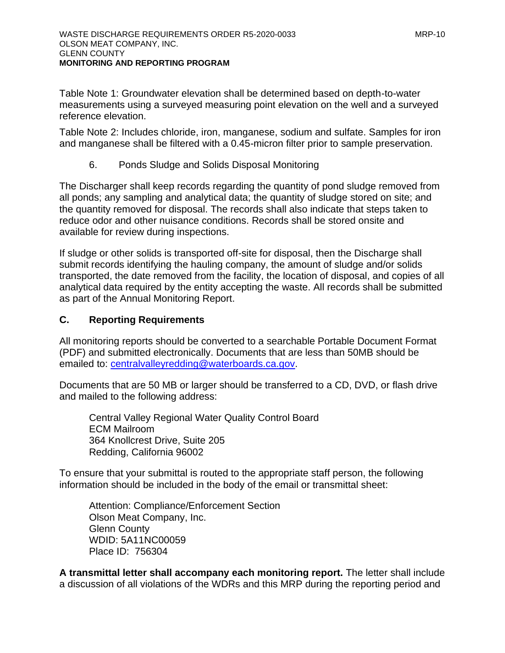Table Note 1: Groundwater elevation shall be determined based on depth-to-water measurements using a surveyed measuring point elevation on the well and a surveyed reference elevation.

Table Note 2: Includes chloride, iron, manganese, sodium and sulfate. Samples for iron and manganese shall be filtered with a 0.45-micron filter prior to sample preservation.

6. Ponds Sludge and Solids Disposal Monitoring

The Discharger shall keep records regarding the quantity of pond sludge removed from all ponds; any sampling and analytical data; the quantity of sludge stored on site; and the quantity removed for disposal. The records shall also indicate that steps taken to reduce odor and other nuisance conditions. Records shall be stored onsite and available for review during inspections.

If sludge or other solids is transported off-site for disposal, then the Discharge shall submit records identifying the hauling company, the amount of sludge and/or solids transported, the date removed from the facility, the location of disposal, and copies of all analytical data required by the entity accepting the waste. All records shall be submitted as part of the Annual Monitoring Report.

# <span id="page-55-0"></span>**C. Reporting Requirements**

All monitoring reports should be converted to a searchable Portable Document Format (PDF) and submitted electronically. Documents that are less than 50MB should be emailed to: centralvalleyredding@waterboards.ca.gov.

Documents that are 50 MB or larger should be transferred to a CD, DVD, or flash drive and mailed to the following address:

Central Valley Regional Water Quality Control Board ECM Mailroom 364 Knollcrest Drive, Suite 205 Redding, California 96002

To ensure that your submittal is routed to the appropriate staff person, the following information should be included in the body of the email or transmittal sheet:

Attention: Compliance/Enforcement Section Olson Meat Company, Inc. Glenn County WDID: 5A11NC00059 Place ID: 756304

**A transmittal letter shall accompany each monitoring report.** The letter shall include a discussion of all violations of the WDRs and this MRP during the reporting period and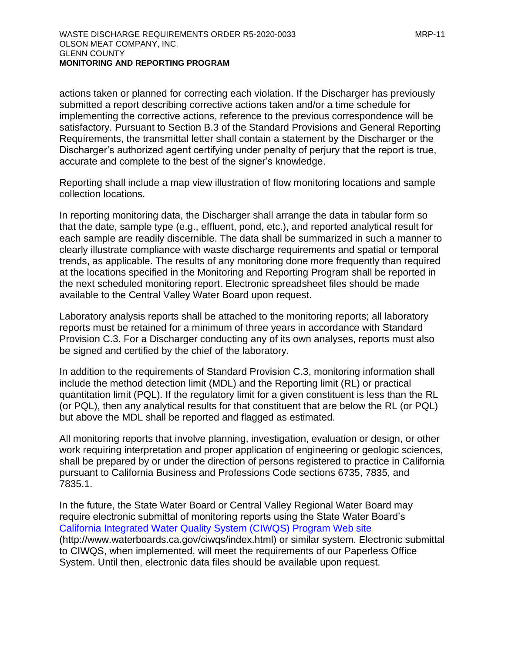actions taken or planned for correcting each violation. If the Discharger has previously submitted a report describing corrective actions taken and/or a time schedule for implementing the corrective actions, reference to the previous correspondence will be satisfactory. Pursuant to Section B.3 of the Standard Provisions and General Reporting Requirements, the transmittal letter shall contain a statement by the Discharger or the Discharger's authorized agent certifying under penalty of perjury that the report is true, accurate and complete to the best of the signer's knowledge.

Reporting shall include a map view illustration of flow monitoring locations and sample collection locations.

In reporting monitoring data, the Discharger shall arrange the data in tabular form so that the date, sample type (e.g., effluent, pond, etc.), and reported analytical result for each sample are readily discernible. The data shall be summarized in such a manner to clearly illustrate compliance with waste discharge requirements and spatial or temporal trends, as applicable. The results of any monitoring done more frequently than required at the locations specified in the Monitoring and Reporting Program shall be reported in the next scheduled monitoring report. Electronic spreadsheet files should be made available to the Central Valley Water Board upon request.

Laboratory analysis reports shall be attached to the monitoring reports; all laboratory reports must be retained for a minimum of three years in accordance with Standard Provision C.3. For a Discharger conducting any of its own analyses, reports must also be signed and certified by the chief of the laboratory.

In addition to the requirements of Standard Provision C.3, monitoring information shall include the method detection limit (MDL) and the Reporting limit (RL) or practical quantitation limit (PQL). If the regulatory limit for a given constituent is less than the RL (or PQL), then any analytical results for that constituent that are below the RL (or PQL) but above the MDL shall be reported and flagged as estimated.

All monitoring reports that involve planning, investigation, evaluation or design, or other work requiring interpretation and proper application of engineering or geologic sciences, shall be prepared by or under the direction of persons registered to practice in California pursuant to California Business and Professions Code sections 6735, 7835, and 7835.1.

In the future, the State Water Board or Central Valley Regional Water Board may require electronic submittal of monitoring reports using the State Water Board's [California Integrated Water Quality System \(CIWQS\) Program Web site](http://www.waterboards.ca.gov/ciwqs/index.html)  (http://www.waterboards.ca.gov/ciwqs/index.html) or similar system. Electronic submittal to CIWQS, when implemented, will meet the requirements of our Paperless Office System. Until then, electronic data files should be available upon request.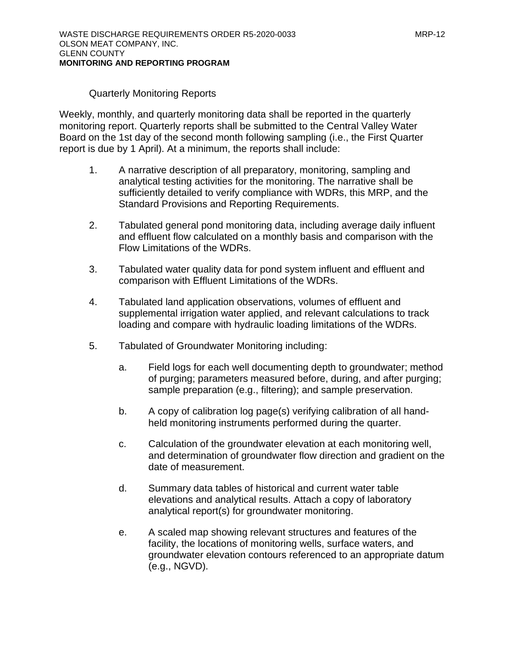### Quarterly Monitoring Reports

<span id="page-57-0"></span>Weekly, monthly, and quarterly monitoring data shall be reported in the quarterly monitoring report. Quarterly reports shall be submitted to the Central Valley Water Board on the 1st day of the second month following sampling (i.e., the First Quarter report is due by 1 April). At a minimum, the reports shall include:

- 1. A narrative description of all preparatory, monitoring, sampling and analytical testing activities for the monitoring. The narrative shall be sufficiently detailed to verify compliance with WDRs, this MRP, and the Standard Provisions and Reporting Requirements.
- 2. Tabulated general pond monitoring data, including average daily influent and effluent flow calculated on a monthly basis and comparison with the Flow Limitations of the WDRs.
- 3. Tabulated water quality data for pond system influent and effluent and comparison with Effluent Limitations of the WDRs.
- 4. Tabulated land application observations, volumes of effluent and supplemental irrigation water applied, and relevant calculations to track loading and compare with hydraulic loading limitations of the WDRs.
- 5. Tabulated of Groundwater Monitoring including:
	- a. Field logs for each well documenting depth to groundwater; method of purging; parameters measured before, during, and after purging; sample preparation (e.g., filtering); and sample preservation.
	- b. A copy of calibration log page(s) verifying calibration of all handheld monitoring instruments performed during the quarter.
	- c. Calculation of the groundwater elevation at each monitoring well, and determination of groundwater flow direction and gradient on the date of measurement.
	- d. Summary data tables of historical and current water table elevations and analytical results. Attach a copy of laboratory analytical report(s) for groundwater monitoring.
	- e. A scaled map showing relevant structures and features of the facility, the locations of monitoring wells, surface waters, and groundwater elevation contours referenced to an appropriate datum (e.g., NGVD).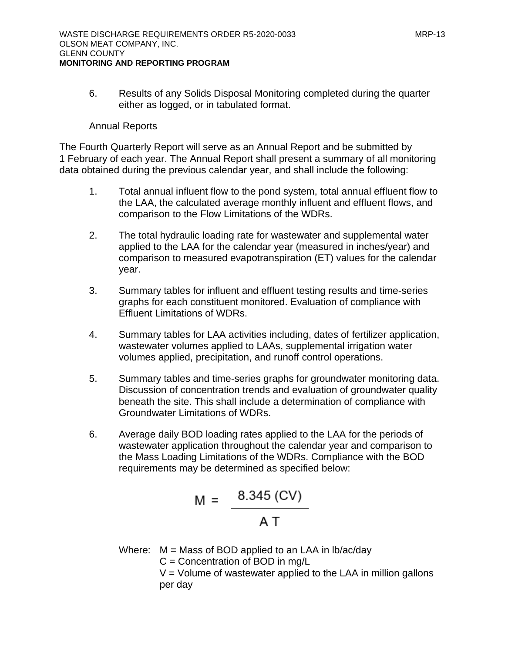6. Results of any Solids Disposal Monitoring completed during the quarter either as logged, or in tabulated format.

#### Annual Reports

<span id="page-58-0"></span>The Fourth Quarterly Report will serve as an Annual Report and be submitted by 1 February of each year. The Annual Report shall present a summary of all monitoring data obtained during the previous calendar year, and shall include the following:

- 1. Total annual influent flow to the pond system, total annual effluent flow to the LAA, the calculated average monthly influent and effluent flows, and comparison to the Flow Limitations of the WDRs.
- 2. The total hydraulic loading rate for wastewater and supplemental water applied to the LAA for the calendar year (measured in inches/year) and comparison to measured evapotranspiration (ET) values for the calendar year.
- 3. Summary tables for influent and effluent testing results and time-series graphs for each constituent monitored. Evaluation of compliance with Effluent Limitations of WDRs.
- 4. Summary tables for LAA activities including, dates of fertilizer application, wastewater volumes applied to LAAs, supplemental irrigation water volumes applied, precipitation, and runoff control operations.
- 5. Summary tables and time-series graphs for groundwater monitoring data. Discussion of concentration trends and evaluation of groundwater quality beneath the site. This shall include a determination of compliance with Groundwater Limitations of WDRs.
- 6. Average daily BOD loading rates applied to the LAA for the periods of wastewater application throughout the calendar year and comparison to the Mass Loading Limitations of the WDRs. Compliance with the BOD requirements may be determined as specified below:

$$
M = \frac{8.345 (CV)}{AT}
$$

Where:  $M =$  Mass of BOD applied to an LAA in lb/ac/day

 $C =$  Concentration of BOD in mg/L

 $V =$  Volume of wastewater applied to the LAA in million gallons per day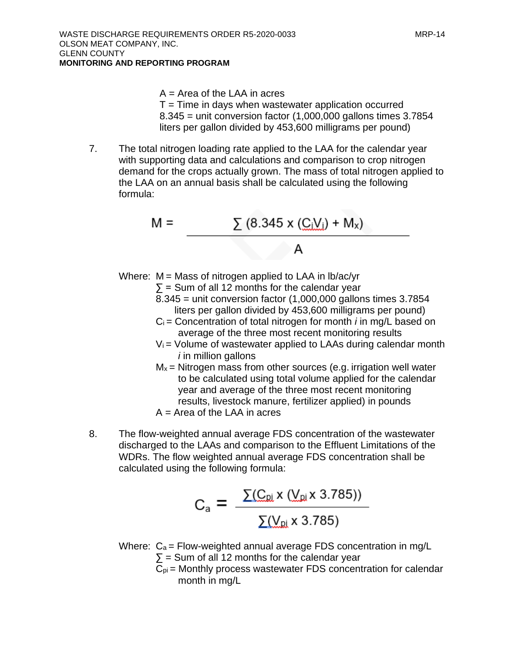- A = Area of the LAA in acres
- $T =$  Time in days when wastewater application occurred 8.345 = unit conversion factor (1,000,000 gallons times 3.7854 liters per gallon divided by 453,600 milligrams per pound)
- 7. The total nitrogen loading rate applied to the LAA for the calendar year with supporting data and calculations and comparison to crop nitrogen demand for the crops actually grown. The mass of total nitrogen applied to the LAA on an annual basis shall be calculated using the following formula:

$$
M = \frac{\sum (8.345 \times (C_i V_i) + M_x)}{A}
$$

Where:  $M =$  Mass of nitrogen applied to LAA in lb/ac/yr

- $\Sigma$  = Sum of all 12 months for the calendar year
	- 8.345 = unit conversion factor (1,000,000 gallons times 3.7854 liters per gallon divided by 453,600 milligrams per pound)
	- Ci = Concentration of total nitrogen for month *i* in mg/L based on average of the three most recent monitoring results
	- $V_i$  = Volume of wastewater applied to LAAs during calendar month *i* in million gallons
	- $M_x$  = Nitrogen mass from other sources (e.g. irrigation well water to be calculated using total volume applied for the calendar year and average of the three most recent monitoring results, livestock manure, fertilizer applied) in pounds A = Area of the LAA in acres
- 8. The flow-weighted annual average FDS concentration of the wastewater discharged to the LAAs and comparison to the Effluent Limitations of the WDRs. The flow weighted annual average FDS concentration shall be calculated using the following formula:

$$
C_{a} = \frac{\sum (C_{\text{p}i} \times (V_{\text{p}i} \times 3.785))}{\sum (V_{\text{p}i} \times 3.785)}
$$

- Where:  $C_a$  = Flow-weighted annual average FDS concentration in mg/L  $\Sigma$  = Sum of all 12 months for the calendar year
	- $C_{pi}$  = Monthly process wastewater FDS concentration for calendar month in mg/L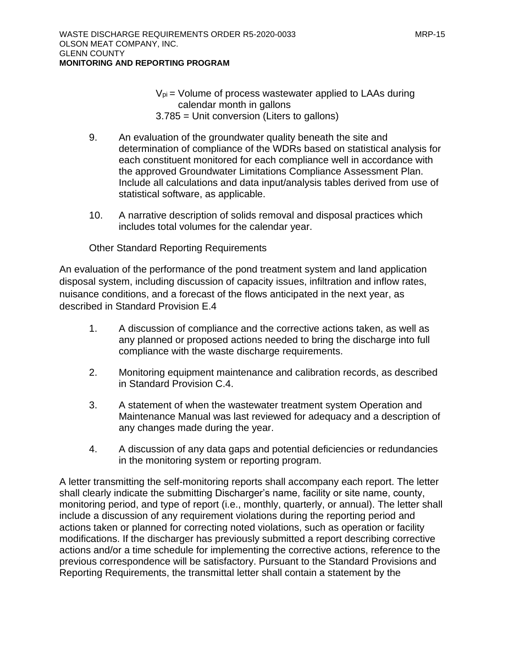- $V_{pi}$  = Volume of process wastewater applied to LAAs during calendar month in gallons 3.785 = Unit conversion (Liters to gallons)
- 9. An evaluation of the groundwater quality beneath the site and determination of compliance of the WDRs based on statistical analysis for each constituent monitored for each compliance well in accordance with the approved Groundwater Limitations Compliance Assessment Plan. Include all calculations and data input/analysis tables derived from use of statistical software, as applicable.
- 10. A narrative description of solids removal and disposal practices which includes total volumes for the calendar year.

Other Standard Reporting Requirements

<span id="page-60-0"></span>An evaluation of the performance of the pond treatment system and land application disposal system, including discussion of capacity issues, infiltration and inflow rates, nuisance conditions, and a forecast of the flows anticipated in the next year, as described in Standard Provision E.4

- 1. A discussion of compliance and the corrective actions taken, as well as any planned or proposed actions needed to bring the discharge into full compliance with the waste discharge requirements.
- 2. Monitoring equipment maintenance and calibration records, as described in Standard Provision C.4.
- 3. A statement of when the wastewater treatment system Operation and Maintenance Manual was last reviewed for adequacy and a description of any changes made during the year.
- 4. A discussion of any data gaps and potential deficiencies or redundancies in the monitoring system or reporting program.

A letter transmitting the self-monitoring reports shall accompany each report. The letter shall clearly indicate the submitting Discharger's name, facility or site name, county, monitoring period, and type of report (i.e., monthly, quarterly, or annual). The letter shall include a discussion of any requirement violations during the reporting period and actions taken or planned for correcting noted violations, such as operation or facility modifications. If the discharger has previously submitted a report describing corrective actions and/or a time schedule for implementing the corrective actions, reference to the previous correspondence will be satisfactory. Pursuant to the Standard Provisions and Reporting Requirements, the transmittal letter shall contain a statement by the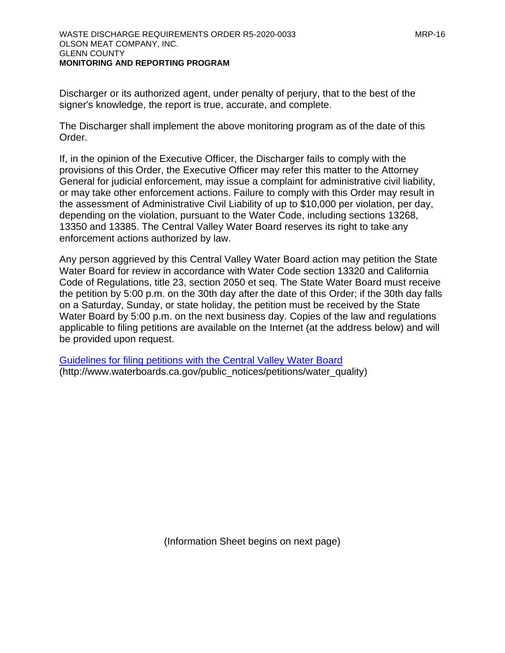Discharger or its authorized agent, under penalty of perjury, that to the best of the signer's knowledge, the report is true, accurate, and complete.

The Discharger shall implement the above monitoring program as of the date of this Order.

If, in the opinion of the Executive Officer, the Discharger fails to comply with the provisions of this Order, the Executive Officer may refer this matter to the Attorney General for judicial enforcement, may issue a complaint for administrative civil liability, or may take other enforcement actions. Failure to comply with this Order may result in the assessment of Administrative Civil Liability of up to \$10,000 per violation, per day, depending on the violation, pursuant to the Water Code, including sections 13268, 13350 and 13385. The Central Valley Water Board reserves its right to take any enforcement actions authorized by law.

Any person aggrieved by this Central Valley Water Board action may petition the State Water Board for review in accordance with Water Code section 13320 and California Code of Regulations, title 23, section 2050 et seq. The State Water Board must receive the petition by 5:00 p.m. on the 30th day after the date of this Order; if the 30th day falls on a Saturday, Sunday, or state holiday, the petition must be received by the State Water Board by 5:00 p.m. on the next business day. Copies of the law and regulations applicable to filing petitions are available on the Internet (at the address below) and will be provided upon request.

[Guidelines for filing petitions with the Central Valley Water Board](http://www.waterboards.ca.gov/public_notices/petitions/water_quality) (http://www.waterboards.ca.gov/public\_notices/petitions/water\_quality)

(Information Sheet begins on next page)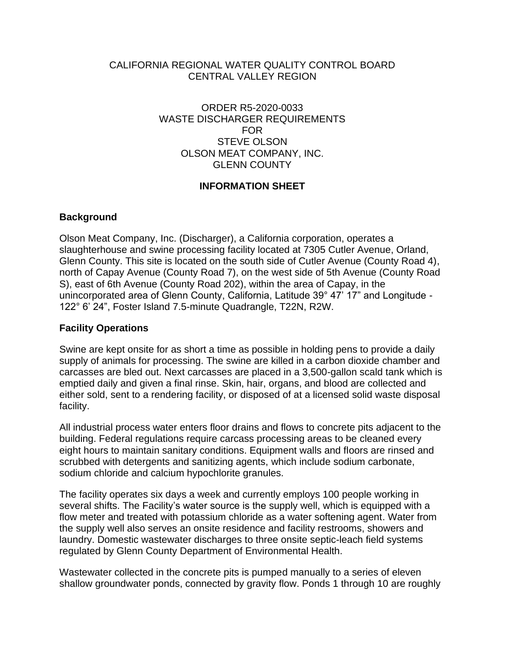### <span id="page-62-1"></span>CALIFORNIA REGIONAL WATER QUALITY CONTROL BOARD CENTRAL VALLEY REGION

### ORDER R5-2020-0033 WASTE DISCHARGER REQUIREMENTS FOR STEVE OLSON OLSON MEAT COMPANY, INC. GLENN COUNTY

### **INFORMATION SHEET**

### <span id="page-62-0"></span>**Background**

Olson Meat Company, Inc. (Discharger), a California corporation, operates a slaughterhouse and swine processing facility located at 7305 Cutler Avenue, Orland, Glenn County. This site is located on the south side of Cutler Avenue (County Road 4), north of Capay Avenue (County Road 7), on the west side of 5th Avenue (County Road S), east of 6th Avenue (County Road 202), within the area of Capay, in the unincorporated area of Glenn County, California, Latitude 39° 47' 17" and Longitude - 122° 6' 24", Foster Island 7.5-minute Quadrangle, T22N, R2W.

### **Facility Operations**

Swine are kept onsite for as short a time as possible in holding pens to provide a daily supply of animals for processing. The swine are killed in a carbon dioxide chamber and carcasses are bled out. Next carcasses are placed in a 3,500-gallon scald tank which is emptied daily and given a final rinse. Skin, hair, organs, and blood are collected and either sold, sent to a rendering facility, or disposed of at a licensed solid waste disposal facility.

All industrial process water enters floor drains and flows to concrete pits adjacent to the building. Federal regulations require carcass processing areas to be cleaned every eight hours to maintain sanitary conditions. Equipment walls and floors are rinsed and scrubbed with detergents and sanitizing agents, which include sodium carbonate, sodium chloride and calcium hypochlorite granules.

The facility operates six days a week and currently employs 100 people working in several shifts. The Facility's water source is the supply well, which is equipped with a flow meter and treated with potassium chloride as a water softening agent. Water from the supply well also serves an onsite residence and facility restrooms, showers and laundry. Domestic wastewater discharges to three onsite septic-leach field systems regulated by Glenn County Department of Environmental Health.

Wastewater collected in the concrete pits is pumped manually to a series of eleven shallow groundwater ponds, connected by gravity flow. Ponds 1 through 10 are roughly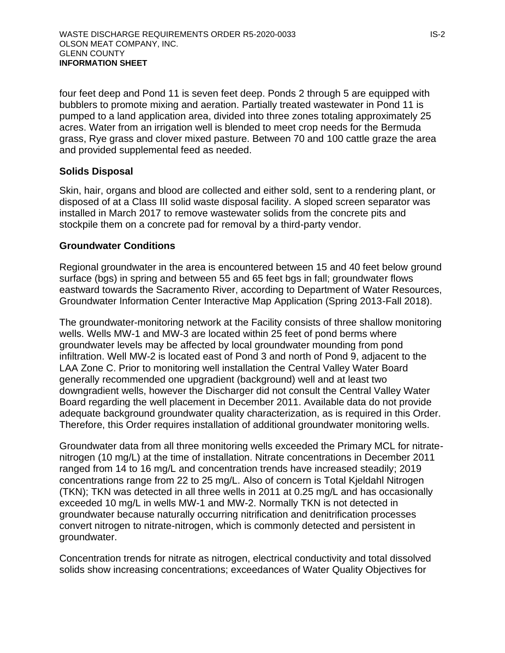four feet deep and Pond 11 is seven feet deep. Ponds 2 through 5 are equipped with bubblers to promote mixing and aeration. Partially treated wastewater in Pond 11 is pumped to a land application area, divided into three zones totaling approximately 25 acres. Water from an irrigation well is blended to meet crop needs for the Bermuda grass, Rye grass and clover mixed pasture. Between 70 and 100 cattle graze the area and provided supplemental feed as needed.

### **Solids Disposal**

Skin, hair, organs and blood are collected and either sold, sent to a rendering plant, or disposed of at a Class III solid waste disposal facility. A sloped screen separator was installed in March 2017 to remove wastewater solids from the concrete pits and stockpile them on a concrete pad for removal by a third-party vendor.

### **Groundwater Conditions**

Regional groundwater in the area is encountered between 15 and 40 feet below ground surface (bgs) in spring and between 55 and 65 feet bgs in fall; groundwater flows eastward towards the Sacramento River, according to Department of Water Resources, Groundwater Information Center Interactive Map Application (Spring 2013-Fall 2018).

The groundwater-monitoring network at the Facility consists of three shallow monitoring wells. Wells MW-1 and MW-3 are located within 25 feet of pond berms where groundwater levels may be affected by local groundwater mounding from pond infiltration. Well MW-2 is located east of Pond 3 and north of Pond 9, adjacent to the LAA Zone C. Prior to monitoring well installation the Central Valley Water Board generally recommended one upgradient (background) well and at least two downgradient wells, however the Discharger did not consult the Central Valley Water Board regarding the well placement in December 2011. Available data do not provide adequate background groundwater quality characterization, as is required in this Order. Therefore, this Order requires installation of additional groundwater monitoring wells.

Groundwater data from all three monitoring wells exceeded the Primary MCL for nitratenitrogen (10 mg/L) at the time of installation. Nitrate concentrations in December 2011 ranged from 14 to 16 mg/L and concentration trends have increased steadily; 2019 concentrations range from 22 to 25 mg/L. Also of concern is Total Kjeldahl Nitrogen (TKN); TKN was detected in all three wells in 2011 at 0.25 mg/L and has occasionally exceeded 10 mg/L in wells MW-1 and MW-2. Normally TKN is not detected in groundwater because naturally occurring nitrification and denitrification processes convert nitrogen to nitrate-nitrogen, which is commonly detected and persistent in groundwater.

Concentration trends for nitrate as nitrogen, electrical conductivity and total dissolved solids show increasing concentrations; exceedances of Water Quality Objectives for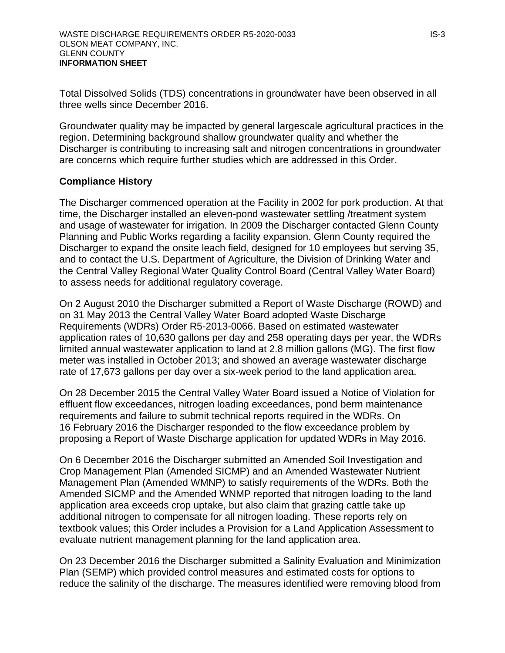Total Dissolved Solids (TDS) concentrations in groundwater have been observed in all three wells since December 2016.

Groundwater quality may be impacted by general largescale agricultural practices in the region. Determining background shallow groundwater quality and whether the Discharger is contributing to increasing salt and nitrogen concentrations in groundwater are concerns which require further studies which are addressed in this Order.

### **Compliance History**

The Discharger commenced operation at the Facility in 2002 for pork production. At that time, the Discharger installed an eleven-pond wastewater settling /treatment system and usage of wastewater for irrigation. In 2009 the Discharger contacted Glenn County Planning and Public Works regarding a facility expansion. Glenn County required the Discharger to expand the onsite leach field, designed for 10 employees but serving 35, and to contact the U.S. Department of Agriculture, the Division of Drinking Water and the Central Valley Regional Water Quality Control Board (Central Valley Water Board) to assess needs for additional regulatory coverage.

On 2 August 2010 the Discharger submitted a Report of Waste Discharge (ROWD) and on 31 May 2013 the Central Valley Water Board adopted Waste Discharge Requirements (WDRs) Order R5-2013-0066. Based on estimated wastewater application rates of 10,630 gallons per day and 258 operating days per year, the WDRs limited annual wastewater application to land at 2.8 million gallons (MG). The first flow meter was installed in October 2013; and showed an average wastewater discharge rate of 17,673 gallons per day over a six-week period to the land application area.

On 28 December 2015 the Central Valley Water Board issued a Notice of Violation for effluent flow exceedances, nitrogen loading exceedances, pond berm maintenance requirements and failure to submit technical reports required in the WDRs. On 16 February 2016 the Discharger responded to the flow exceedance problem by proposing a Report of Waste Discharge application for updated WDRs in May 2016.

On 6 December 2016 the Discharger submitted an Amended Soil Investigation and Crop Management Plan (Amended SICMP) and an Amended Wastewater Nutrient Management Plan (Amended WMNP) to satisfy requirements of the WDRs. Both the Amended SICMP and the Amended WNMP reported that nitrogen loading to the land application area exceeds crop uptake, but also claim that grazing cattle take up additional nitrogen to compensate for all nitrogen loading. These reports rely on textbook values; this Order includes a Provision for a Land Application Assessment to evaluate nutrient management planning for the land application area.

On 23 December 2016 the Discharger submitted a Salinity Evaluation and Minimization Plan (SEMP) which provided control measures and estimated costs for options to reduce the salinity of the discharge. The measures identified were removing blood from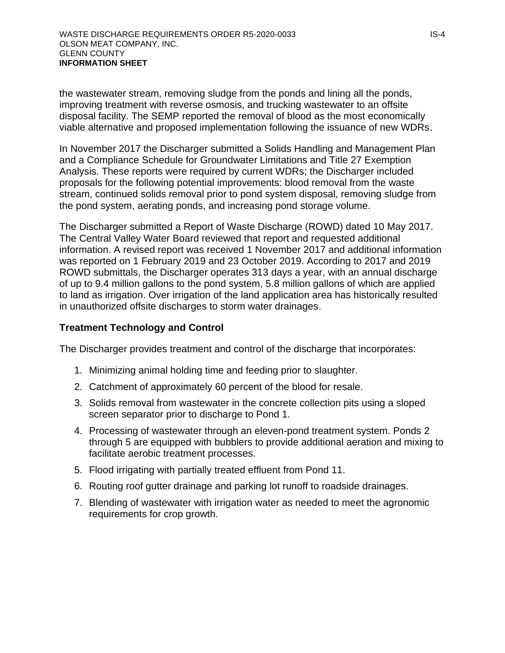the wastewater stream, removing sludge from the ponds and lining all the ponds, improving treatment with reverse osmosis, and trucking wastewater to an offsite disposal facility. The SEMP reported the removal of blood as the most economically viable alternative and proposed implementation following the issuance of new WDRs.

In November 2017 the Discharger submitted a Solids Handling and Management Plan and a Compliance Schedule for Groundwater Limitations and Title 27 Exemption Analysis. These reports were required by current WDRs; the Discharger included proposals for the following potential improvements: blood removal from the waste stream, continued solids removal prior to pond system disposal, removing sludge from the pond system, aerating ponds, and increasing pond storage volume.

The Discharger submitted a Report of Waste Discharge (ROWD) dated 10 May 2017. The Central Valley Water Board reviewed that report and requested additional information. A revised report was received 1 November 2017 and additional information was reported on 1 February 2019 and 23 October 2019. According to 2017 and 2019 ROWD submittals, the Discharger operates 313 days a year, with an annual discharge of up to 9.4 million gallons to the pond system, 5.8 million gallons of which are applied to land as irrigation. Over irrigation of the land application area has historically resulted in unauthorized offsite discharges to storm water drainages.

#### **Treatment Technology and Control**

The Discharger provides treatment and control of the discharge that incorporates:

- 1. Minimizing animal holding time and feeding prior to slaughter.
- 2. Catchment of approximately 60 percent of the blood for resale.
- 3. Solids removal from wastewater in the concrete collection pits using a sloped screen separator prior to discharge to Pond 1.
- 4. Processing of wastewater through an eleven-pond treatment system. Ponds 2 through 5 are equipped with bubblers to provide additional aeration and mixing to facilitate aerobic treatment processes.
- 5. Flood irrigating with partially treated effluent from Pond 11.
- 6. Routing roof gutter drainage and parking lot runoff to roadside drainages.
- 7. Blending of wastewater with irrigation water as needed to meet the agronomic requirements for crop growth.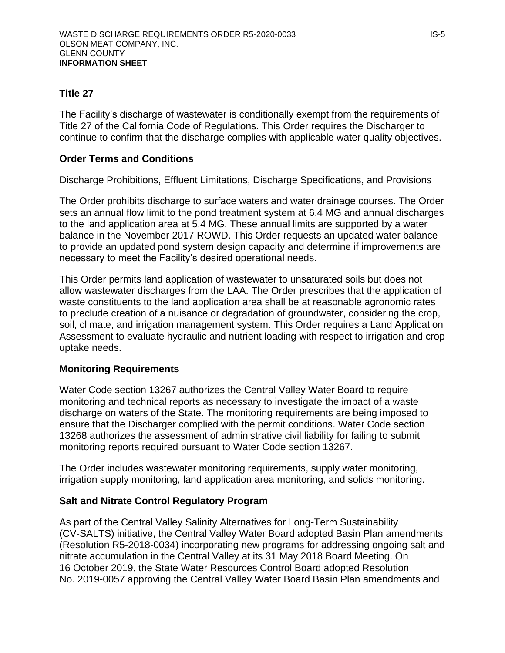### **Title 27**

The Facility's discharge of wastewater is conditionally exempt from the requirements of Title 27 of the California Code of Regulations. This Order requires the Discharger to continue to confirm that the discharge complies with applicable water quality objectives.

### **Order Terms and Conditions**

Discharge Prohibitions, Effluent Limitations, Discharge Specifications, and Provisions

The Order prohibits discharge to surface waters and water drainage courses. The Order sets an annual flow limit to the pond treatment system at 6.4 MG and annual discharges to the land application area at 5.4 MG. These annual limits are supported by a water balance in the November 2017 ROWD. This Order requests an updated water balance to provide an updated pond system design capacity and determine if improvements are necessary to meet the Facility's desired operational needs.

This Order permits land application of wastewater to unsaturated soils but does not allow wastewater discharges from the LAA. The Order prescribes that the application of waste constituents to the land application area shall be at reasonable agronomic rates to preclude creation of a nuisance or degradation of groundwater, considering the crop, soil, climate, and irrigation management system. This Order requires a Land Application Assessment to evaluate hydraulic and nutrient loading with respect to irrigation and crop uptake needs.

### **Monitoring Requirements**

Water Code section 13267 authorizes the Central Valley Water Board to require monitoring and technical reports as necessary to investigate the impact of a waste discharge on waters of the State. The monitoring requirements are being imposed to ensure that the Discharger complied with the permit conditions. Water Code section 13268 authorizes the assessment of administrative civil liability for failing to submit monitoring reports required pursuant to Water Code section 13267.

The Order includes wastewater monitoring requirements, supply water monitoring, irrigation supply monitoring, land application area monitoring, and solids monitoring.

### **Salt and Nitrate Control Regulatory Program**

As part of the Central Valley Salinity Alternatives for Long-Term Sustainability (CV-SALTS) initiative, the Central Valley Water Board adopted Basin Plan amendments (Resolution R5-2018-0034) incorporating new programs for addressing ongoing salt and nitrate accumulation in the Central Valley at its 31 May 2018 Board Meeting. On 16 October 2019, the State Water Resources Control Board adopted Resolution No. 2019-0057 approving the Central Valley Water Board Basin Plan amendments and